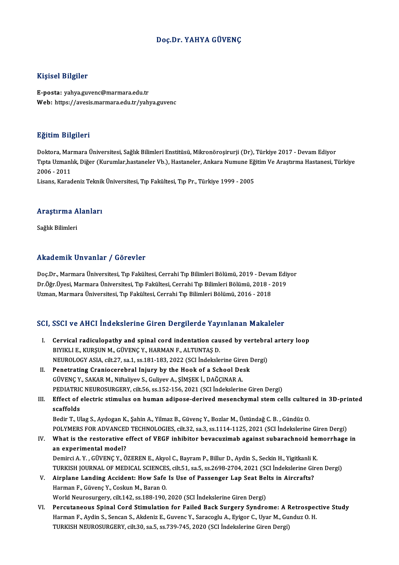#### Doç.Dr. YAHYA GÜVENÇ

#### Kişisel Bilgiler

E-posta: yahya.guvenc@marmara.edu.tr Web: https://avesis.marmara.edu.tr/yahya.guvenc

#### Eğitim Bilgileri

<mark>Eğitim Bilgileri</mark><br>Doktora, Marmara Üniversitesi, Sağlık Bilimleri Enstitüsü, Mikronöroşirurji (Dr), Türkiye 2017 - Devam Ediyor<br>Tınta Hamanlık Diğer (Kurumlar baştaneler Vb.), Hastaneler Ankara Numune Eğitim Ve Arastırma Tıpta Uzmanlık, Diğer (Kurumlar,hastaneler Vb.), Hastaneler, Ankara Numune Eğitim Ve Araştırma Hastanesi, Türkiye<br>2006 - 2011 Doktora, Mar<br>Tıpta Uzmanl<br>2006 - 2011<br>Lisans, Karad

Lisans, Karadeniz Teknik Üniversitesi, Tıp Fakültesi, Tıp Pr., Türkiye 1999 - 2005

## Lisans, Karageniz Teknik<br>Araştırma Alanları <mark>Araştırma A</mark><br>Sağlık Bilimleri

# Akademik Unvanlar / Görevler

Akademik Unvanlar / Görevler<br>Doç.Dr., Marmara Üniversitesi, Tıp Fakültesi, Cerrahi Tıp Bilimleri Bölümü, 2019 - Devam Ediyor<br>Dr.Öğr Üyesi, Marmara Üniversitesi, Tıp Fakültesi, Cerrahi Tıp Bilimleri Bölümü, 2019 - 2019 rrittat onritt on varitar 7 taor ovior<br>Doç.Dr., Marmara Üniversitesi, Tıp Fakültesi, Cerrahi Tıp Bilimleri Bölümü, 2019 - Devam Edi;<br>Dr.Öğr.Üyesi, Marmara Üniversitesi, Tıp Fakültesi, Cerrahi Tıp Bilimleri Bölümü, 2018 - 2 Doç.Dr., Marmara Üniversitesi, Tıp Fakültesi, Cerrahi Tıp Bilimleri Bölümü, 2019 - Devaı<br>Dr.Öğr.Üyesi, Marmara Üniversitesi, Tıp Fakültesi, Cerrahi Tıp Bilimleri Bölümü, 2018 - :<br>Uzman, Marmara Üniversitesi, Tıp Fakültesi,

# Uzman, Marmara Üniversitesi, Tıp Fakültesi, Cerrahi Tıp Bilimleri Bölümü, 2016 - 2018<br>SCI, SSCI ve AHCI İndekslerine Giren Dergilerde Yayınlanan Makaleler

- CI, SSCI ve AHCI İndekslerine Giren Dergilerde Yayınlanan Makaleler<br>I. Cervical radiculopathy and spinal cord indentation caused by vertebral artery loop<br>RIVIVI I.E. WIRSIN M. CÜVENC V. HARMAN E. ALTINTAS D BBB1 Ve TIMET INCENSIONING CH ON BELGIEVICE TILY<br>Cervical radiculopathy and spinal cord indentation cau<br>BIYIKLI E., KURŞUN M., GÜVENÇ Y., HARMAN F., ALTUNTAŞ D. Cervical radiculopathy and spinal cord indentation caused by vertebra<br>BIYIKLI E., KURŞUN M., GÜVENÇ Y., HARMAN F., ALTUNTAŞ D.<br>NEUROLOGY ASIA, cilt.27, sa.1, ss.181-183, 2022 (SCI İndekslerine Giren Dergi)<br>Penetrating Cran BIYIKLI E., KURŞUN M., GÜVENÇ Y., HARMAN F., ALTUNTAŞ D.<br>NEUROLOGY ASIA, cilt.27, sa.1, ss.181-183, 2022 (SCI İndekslerine Giren I<br>II. Penetrating Craniocerebral Injury by the Hook of a School Desk<br>CÜVENC Y. SAKAR M. Nifra
- NEUROLOGY ASIA, cilt.27, sa.1, ss.181-183, 2022 (SCI İndekslerine Gire<br>Penetrating Craniocerebral Injury by the Hook of a School De.<br>GÜVENÇ Y., SAKAR M., Niftaliyev S., Guliyev A., ŞİMŞEK İ., DAĞÇINAR A.<br>PEDIATRIC NEUROSUR GÜVENÇ Y., SAKAR M., Niftaliyev S., Guliyev A., ŞİMŞEK İ., DAĞÇINAR A.<br>PEDIATRIC NEUROSURGERY, cilt.56, ss.152-156, 2021 (SCI İndekslerine Giren Dergi) GÜVENÇ Y., SAKAR M., Niftaliyev S., Guliyev A., ŞİMŞEK İ., DAĞÇINAR A.<br>PEDIATRIC NEUROSURGERY, cilt.56, ss.152-156, 2021 (SCI İndekslerine Giren Dergi)<br>III. Effect of electric stimulus on human adipose-derived mesenchymal
- PEDIATRIC<br>Effect of<br>scaffolds<br>Pedir T-UI Effect of electric stimulus on human adipose-derived mesenchymal stem cells cultur<br>scaffolds<br>Bedir T., Ulag S., Aydogan K., Şahin A., Yilmaz B., Güvenç Y., Bozlar M., Üstündağ C. B. , Gündüz O.<br>POLYMERS EOR ADVANCED TECHNO

scaffolds<br>Bedir T., Ulag S., Aydogan K., Şahin A., Yilmaz B., Güvenç Y., Bozlar M., Üstündağ C. B. , Gündüz O.<br>POLYMERS FOR ADVANCED TECHNOLOGIES, cilt.32, sa.3, ss.1114-1125, 2021 (SCI İndekslerine Giren Dergi)<br>What is th Bedir T., Ulag S., Aydogan K., Şahin A., Yilmaz B., Güvenç Y., Bozlar M., Üstündağ C. B. , Gündüz O.<br>POLYMERS FOR ADVANCED TECHNOLOGIES, cilt.32, sa.3, ss.1114-1125, 2021 (SCI İndekslerine Giren Dergi)<br>IV. What is the

POLYMERS FOR ADVANCEL<br>What is the restorative of<br>an experimental model?<br>Dominal A y - CUVENC y - Ö What is the restorative effect of VEGF inhibitor bevacuzimab against subarachnoid het<br>an experimental model?<br>Demirci A.Y. ,GÜVENÇ Y., ÖZEREN E., Akyol C., Bayram P., Billur D., Aydin S., Seckin H., Yigitkanli K.<br>TURKISH JO

an experimental model?<br>Demirci A. Y. , GÜVENÇ Y., ÖZEREN E., Akyol C., Bayram P., Billur D., Aydin S., Seckin H., Yigitkanli K.<br>TURKISH JOURNAL OF MEDICAL SCIENCES, cilt.51, sa.5, ss.2698-2704, 2021 (SCI İndekslerine Giren Demirci A. Y., GÜVENÇ Y., ÖZEREN E., Akyol C., Bayram P., Billur D., Aydin S., Seckin H., Yigitkanli K<br>TURKISH JOURNAL OF MEDICAL SCIENCES, cilt.51, sa.5, ss.2698-2704, 2021 (SCI İndekslerine Gir<br>V. Airplane Landing Accide

- TURKISH JOURNAL OF MEDICAL SCIENCES, cilt.51, sa.5, ss.2698-2704, 2021 (SCI İndekslerine Giren Dergi)<br>Airplane Landing Accident: How Safe Is Use of Passenger Lap Seat Belts in Aircrafts?<br>Harman F., Güvenç Y., Coskun M., Ba V. Airplane Landing Accident: How Safe Is Use of Passenger Lap Seat Belts in Aircrafts?
- VI. Percutaneous Spinal Cord Stimulation for Failed Back Surgery Syndrome: A Retrospective Study World Neurosurgery, cilt.142, ss.188-190, 2020 (SCI İndekslerine Giren Dergi)<br>Percutaneous Spinal Cord Stimulation for Failed Back Surgery Syndrome: A Retrospec<br>Harman F., Aydin S., Sencan S., Akdeniz E., Guvenc Y., Saraco Percutaneous Spinal Cord Stimulation for Failed Back Surgery Syndrome: A F<br>Harman F., Aydin S., Sencan S., Akdeniz E., Guvenc Y., Saracoglu A., Eyigor C., Uyar M., Gu<br>TURKISH NEUROSURGERY, cilt.30, sa.5, ss.739-745, 2020 (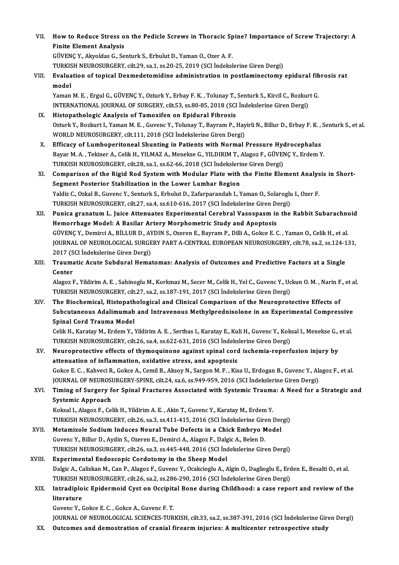VII. How to Reduce Stress on the Pedicle Screws in Thoracic Spine? Importance of Screw Trajectory: A<br>Finite Flement Anglysic **How to Reduce Stress of**<br>Finite Element Analysis<br>C<sup>üncenc V. Alweldes G. So</sup> How to Reduce Stress on the Pedicle Screws in Thoracic Sp<br>Finite Element Analysis<br>GÜVENÇ Y., Akyoldas G., Senturk S., Erbulut D., Yaman O., Ozer A. F.<br>TURKISH NEUROSURGERY 4:1+39, 88.1, 88.39, 25, 2019 (SGL Indeksl

Finite Element Analysis<br>GÜVENÇ Y., Akyoldas G., Senturk S., Erbulut D., Yaman O., Ozer A. F.<br>TURKISH NEUROSURGERY, cilt.29, sa.1, ss.20-25, 2019 (SCI İndekslerine Giren Dergi)<br>Evaluation of tanisal Devmodetamidine edminist

### GÜVENÇ Y., Akyoldas G., Senturk S., Erbulut D., Yaman O., Ozer A. F.<br>TURKISH NEUROSURGERY, cilt.29, sa.1, ss.20-25, 2019 (SCI İndekslerine Giren Dergi)<br>VIII. Evaluation of topical Dexmedetomidine administration in post TURKIS<br><mark>Evalua</mark><br>model<br><sup>Vaman</sup> Evaluation of topical Dexmedetomidine administration in postlaminectomy epidural fib<br>model<br>Yaman M. E. , Ergul G., GÜVENÇ Y., Ozturk Y., Erbay F. K. , Tolunay T., Senturk S., Kircil C., Bozkurt G.<br>INTERNATIONAL JOURNAL OF

model<br>Yaman M. E. , Ergul G., GÜVENÇ Y., Ozturk Y., Erbay F. K. , Tolunay T., Senturk S., Kircil C., Bozkur<br>INTERNATIONAL JOURNAL OF SURGERY, cilt.53, ss.80-85, 2018 (SCI İndekslerine Giren Dergi)<br>Histopathelegis Analysis Yaman M. E., Ergul G., GÜVENÇ Y., Ozturk Y., Erbay F. K., Tolunay T.,<br>INTERNATIONAL JOURNAL OF SURGERY, cilt.53, ss.80-85, 2018 (SCI<br>IX. Histopathologic Analysis of Tamoxifen on Epidural Fibrosis<br>Orturk Y. Borlaut J. Yoman

- INTERNATIONAL JOURNAL OF SURGERY, cilt.53, ss.80-85, 2018 (SCI İndekslerine Giren Dergi)<br>Histopathologic Analysis of Tamoxifen on Epidural Fibrosis<br>Ozturk Y., Bozkurt I., Yaman M. E. , Guvenc Y., Tolunay T., Bayram P., Hay Histopathologic Analysis of Tamoxifen on Epidural Fibrosis<br>Ozturk Y., Bozkurt I., Yaman M. E. , Guvenc Y., Tolunay T., Bayram P., Hay<br>WORLD NEUROSURGERY, cilt.111, 2018 (SCI İndekslerine Giren Dergi)<br>Efficesu of Lumbonerit Ozturk Y., Bozkurt I., Yaman M. E., Guvenc Y., Tolunay T., Bayram P., Hayirli N., Billur D., Erbay F. K.,<br>WORLD NEUROSURGERY, cilt.111, 2018 (SCI Indekslerine Giren Dergi)<br>X. Efficacy of Lumboperitoneal Shunting in Patient
- WORLD NEUROSURGERY, cilt.111, 2018 (SCI İndekslerine Giren Dergi)<br>X. Efficacy of Lumboperitoneal Shunting in Patients with Normal Pressure Hydrocephalus<br>Bayar M. A. , Tekiner A., Celik H., YILMAZ A., Menekse G., YILDIR Efficacy of Lumboperitoneal Shunting in Patients with Normal Pressure Hydra<br>Bayar M. A. , Tekiner A., Celik H., YILMAZ A., Menekse G., YILDIRIM T., Alagoz F., GÜVEN<br>TURKISH NEUROSURGERY, cilt.28, sa.1, ss.62-66, 2018 (SCI Bayar M. A. , Tekiner A., Celik H., YILMAZ A., Menekse G., YILDIRIM T., Alagoz F., GÜVENÇ Y., Erdem Y.<br>TURKISH NEUROSURGERY, cilt.28, sa.1, ss.62-66, 2018 (SCI İndekslerine Giren Dergi)<br>XI. Comparison of the Rigid Rod Syst
- TURKISH NEUROSURGERY, cilt.28, sa.1, ss.62-66, 2018 (SCI İndekslerin<br>Comparison of the Rigid Rod System with Modular Plate with<br>Segment Posterior Stabilization in the Lower Lumbar Region<br>Valdiz C. Orkal B. Cuyana V. Santua Comparison of the Rigid Rod System with Modular Plate with the Finite Element Analys<br>Segment Posterior Stabilization in the Lower Lumbar Region<br>Yaldiz C., Ozkal B., Guvenc Y., Senturk S., Erbulut D., Zafarparandah I., Yama Segment Posterior Stabilization in the Lower Lumbar Region<br>Yaldiz C., Ozkal B., Guvenc Y., Senturk S., Erbulut D., Zafarparandah I., Yaman O., Solaroglu I., Ozer F.<br>TURKISH NEUROSURGERY, cilt.27, sa.4, ss.610-616, 2017 (SC Yaldiz C., Ozkal B., Guvenc Y., Senturk S., Erbulut D., Zafarparandah I., Yaman O., Solaroglu I., Ozer F.<br>TURKISH NEUROSURGERY, cilt.27, sa.4, ss.610-616, 2017 (SCI İndekslerine Giren Dergi)<br>XII. Punica granatum L. Juice A
- TURKISH NEUROSURGERY, cilt.27, sa.4, ss.610-616, 2017 (SCI İndekslerine Giren De<br>Punica granatum L. Juice Attenuates Experimental Cerebral Vasospasm in<br>Hemorrhage Model: A Basilar Artery Morphometric Study and Apoptosis<br>CÜ Punica granatum L. Juice Attenuates Experimental Cerebral Vasospasm in the Rabbit Subarachno<br>Hemorrhage Model: A Basilar Artery Morphometric Study and Apoptosis<br>GÜVENÇ Y., Demirci A., BİLLUR D., AYDIN S., Ozeren E., Bayram Hemorrhage Model: A Basilar Artery Morphometric Study and Apoptosis<br>GÜVENÇ Y., Demirci A., BİLLUR D., AYDIN S., Ozeren E., Bayram P., Dilli A., Gokce E. C. , Yaman O., Celik H., et al.<br>JOURNAL OF NEUROLOGICAL SURGERY PART GÜVENÇ Y., Demirci A., BİLLUR D., AYDIN S., Ozeren E., Bayram P., Dilli A., Gokce E. C., Yaman O., Celik H., et al. JOURNAL OF NEUROLOGICAL SURGERY PART A-CENTRAL EUROPEAN NEUROSURGERY, cilt.78, sa.2, ss.124-1<br>2017 (SCI İndekslerine Giren Dergi)<br>XIII. Traumatic Acute Subdural Hematomas: Analysis of Outcomes and Predictive Factors at
- 2017 (S<br>Trauma<br>Center<br>Alassa L Traumatic Acute Subdural Hematomas: Analysis of Outcomes and Predictive Factors at a Single<br>Center<br>Alagoz F., Yildirim A. E. , Sahinoglu M., Korkmaz M., Secer M., Celik H., Yel C., Guvenc Y., Uckun O. M. , Narin F., et al.

Center<br>Alagoz F., Yildirim A. E. , Sahinoglu M., Korkmaz M., Secer M., Celik H., Yel C., Guvenc Y., Uckun O. M. , Narin F., et al.<br>TURKISH NEUROSURGERY, cilt.27, sa.2, ss.187-191, 2017 (SCI İndekslerine Giren Dergi)

XIV. The Biochemical, Histopathological and Clinical Comparison of the Neuroprotective Effects of TURKISH NEUROSURGERY, cilt.27, sa.2, ss.187-191, 2017 (SCI İndekslerine Giren Dergi)<br>The Biochemical, Histopathological and Clinical Comparison of the Neuroprotective Effects of<br>Subcutaneous Adalimumab and Intravenous Meth The Biochemical, Histopath<br>Subcutaneous Adalimumab<br>Spinal Cord Trauma Model<br>Celik H. Karatay M. Erdem V. Y Subcutaneous Adalimumab and Intravenous Methylprednisolone in an Experimental Compressive<br>Spinal Cord Trauma Model<br>Celik H., Karatay M., Erdem Y., Yildirim A. E. , Sertbas I., Karatay E., Kuli H., Guvenc Y., Koksal I., Men

Spinal Cord Trauma Model<br>Celik H., Karatay M., Erdem Y., Yildirim A. E. , Sertbas I., Karatay E., Kuli H., Guvenc Y., Koksal I., Menekse G., et al.<br>TURKISH NEUROSURGERY, cilt.26, sa.4, ss.622-631, 2016 (SCI İndekslerine Gi Celik H., Karatay M., Erdem Y., Yildirim A. E. , Sertbas I., Karatay E., Kuli H., Guvenc Y., Koksal I., Menekse G.,<br>TURKISH NEUROSURGERY, cilt.26, sa.4, ss.622-631, 2016 (SCI İndekslerine Giren Dergi)<br>XV. Neuroprotective e

TURKISH NEUROSURGERY, cilt.26, sa.4, ss.622-631, 2016 (SCI Indeks<br>Neuroprotective effects of thymoquinone against spinal cord<br>attenuation of inflammation, oxidative stress, and apoptosis<br>Coltec E.C. Kehyesi P. Coltec A. Co Neuroprotective effects of thymoquinone against spinal cord ischemia-reperfusion injury by<br>attenuation of inflammation, oxidative stress, and apoptosis<br>Gokce E. C. , Kahveci R., Gokce A., Cemil B., Aksoy N., Sargon M. F. , attenuation of inflammation, oxidative stress, and apoptosis<br>Gokce E. C. , Kahveci R., Gokce A., Cemil B., Aksoy N., Sargon M. F. , Kisa U., Erdogan B., Guvenc Y., Alagoz F., et al.<br>JOURNAL OF NEUROSURGERY-SPINE, cilt.24, Gokce E. C. , Kahveci R., Gokce A., Cemil B., Aksoy N., Sargon M. F. , Kisa U., Erdogan B., Guvenc Y., Alagoz F., et al.<br>JOURNAL OF NEUROSURGERY-SPINE, cilt.24, sa.6, ss.949-959, 2016 (SCI İndekslerine Giren Dergi)<br>XVI.

### **JOURNAL OF NEUROST<br>Timing of Surgery f<br>Systemic Approach<br>Koksal L Alazer E. Cal** Timing of Surgery for Spinal Fractures Associated with Systemic Traum:<br>Systemic Approach<br>Koksal I., Alagoz F., Celik H., Yildirim A. E. , Akin T., Guvenc Y., Karatay M., Erdem Y.<br>TURKISH NEUROSURCERY sitt 26 sp.2, sp.411, Systemic Approach<br>Koksal I., Alagoz F., Celik H., Yildirim A. E. , Akin T., Guvenc Y., Karatay M., Erdem Y.<br>TURKISH NEUROSURGERY, cilt.26, sa.3, ss.411-415, 2016 (SCI İndekslerine Giren Dergi)

Koksal I., Alagoz F., Celik H., Yildirim A. E. , Akin T., Guvenc Y., Karatay M., Erdem Y.<br>TURKISH NEUROSURGERY, cilt.26, sa.3, ss.411-415, 2016 (SCI İndekslerine Giren Der<br>XVII. Metamizole Sodium Induces Neural Tube Defect TURKISH NEUROSURGERY, cilt.26, sa.3, ss.411-415, 2016 (SCI İndekslerine Gire<br>Metamizole Sodium Induces Neural Tube Defects in a Chick Embryo M<br>Guvenc Y., Billur D., Aydin S., Ozeren E., Demirci A., Alagoz F., Dalgic A., Be Metamizole Sodium Induces Neural Tube Defects in a Chick Embryo Model<br>Guvenc Y., Billur D., Aydin S., Ozeren E., Demirci A., Alagoz F., Dalgic A., Belen D.<br>TURKISH NEUROSURGERY, cilt.26, sa.3, ss.445-448, 2016 (SCI İndeksl Guvenc Y., Billur D., Aydin S., Ozeren E., Demirci A., Alagoz F., Dalgic A., Belen D.<br>TURKISH NEUROSURGERY, cilt.26, sa.3, ss.445-448, 2016 (SCI Indekslerine Giren Dergi)<br>XVIII. Experimental Endoscopic Cordotomy in the She

## TURKISH NEUROSURGERY, cilt.26, sa.3, ss.445-448, 2016 (SCI İndekslerine Giren Dergi)<br><mark>Experimental Endoscopic Cordotomy in the Sheep Model</mark><br>Dalgic A., Caliskan M., Can P., Alagoz F., Guvenc Y., Ocakcioglu A., Algin O., Dag Experimental Endoscopic Cordotomy in the Sheep Model<br>Dalgic A., Caliskan M., Can P., Alagoz F., Guvenc Y., Ocakcioglu A., Algin O., Daglioglu E., Erc<br>TURKISH NEUROSURGERY, cilt.26, sa.2, ss.286-290, 2016 (SCI İndekslerine Dalgic A., Caliskan M., Can P., Alagoz F., Guvenc Y., Ocakcioglu A., Algin O., Daglioglu E., Erden E., Besalti O., et al.<br>TURKISH NEUROSURGERY, cilt.26, sa.2, ss.286-290, 2016 (SCI İndekslerine Giren Dergi)<br>XIX. Intradiplo

## TURKISH NEUROSURGERY, cilt.26, sa.2, ss.286-290, 2016 (SCI Indekslerine Giren Dergi)<br>Intradiploic Epidermoid Cyst on Occipital Bone during Childhood: a case repo<br>Iiterature<br>Guvenc Y., Gokce E. C., Gokce A., Guvenc F. T. Intradiploic Epidermoid Cyst on Occipit<br>literature<br>Guvenc Y., Gokce E. C. , Gokce A., Guvenc F. T.<br>JOUPNAL OF NEUPOLOCICAL SCIENCES TUP

JOURNAL OF NEUROLOGICAL SCIENCES-TURKISH, cilt.33, sa.2, ss.387-391, 2016 (SCI İndekslerine Giren Dergi)

XX. Outcomes and demostration of cranial firearminjuries: Amulticenter retrospective study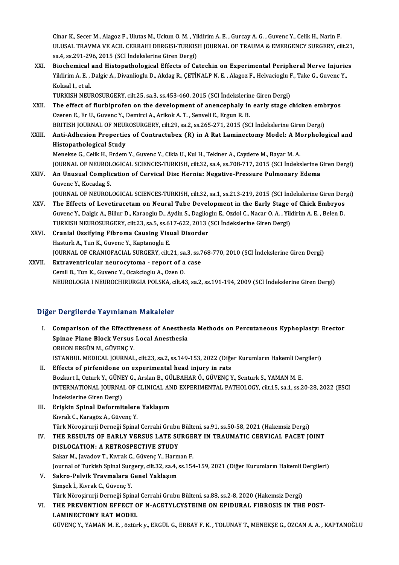Cinar K., Secer M., Alagoz F., Ulutas M., Uckun O. M. , Yildirim A. E. , Gurcay A. G. , Guvenc Y., Celik H., Narin F.<br>ULUSAL TRAVMA VE ACU, CERRAHI DERCISI TURKISH JOURNAL OF TRAUMA & EMERCENCY SURCERY, Gil Cinar K., Secer M., Alagoz F., Ulutas M., Uckun O. M. , Yildirim A. E. , Gurcay A. G. , Guvenc Y., Celik H., Narin F.<br>ULUSAL TRAVMA VE ACIL CERRAHI DERGISI-TURKISH JOURNAL OF TRAUMA & EMERGENCY SURGERY, cilt.21, Cinar K., Secer M., Alagoz F., Ulutas M., Uckun O. M. , Yi<br>ULUSAL TRAVMA VE ACIL CERRAHI DERGISI-TURKIS<br>sa.4, ss.291-296, 2015 (SCI İndekslerine Giren Dergi)<br>Pieshemisel and Histonathelesisel Effecta of Co VLUSAL TRAVMA VE ACIL CERRAHI DERGISI-TURKISH JOURNAL OF TRAUMA & EMERGENCY SURGERY, cilt.21,<br>sa.4, ss.291-296, 2015 (SCI Indekslerine Giren Dergi)<br>XXI. Biochemical and Histopathological Effects of Catechin on Experimental

sa.4, ss.291-296, 2015 (SCI İndekslerine Giren Dergi)<br>Biochemical and Histopathological Effects of Catechin on Experimental Peripheral Nerve Injurie<br>Yildirim A. E. , Dalgic A., Divanlioglu D., Akdag R., ÇETİNALP N. E. , Al **Biochemical<br>Yildirim A. E. ,<br>Koksal I., et al.<br>TURKISH NEU** Yildirim A. E. , Dalgic A., Divanlioglu D., Akdag R., ÇETİNALP N. E. , Alagoz F., Helvacioglu F<br>Koksal I., et al.<br>TURKISH NEUROSURGERY, cilt.25, sa.3, ss.453-460, 2015 (SCI İndekslerine Giren Dergi)<br>The effect of flurbings

TURKISH NEUROSURGERY, cilt25, sa.3, ss.453-460, 2015 (SCI İndekslerine Giren Dergi)

- Koksal I., et al.<br>TURKISH NEUROSURGERY, cilt.25, sa.3, ss.453-460, 2015 (SCI Indekslerine Giren Dergi)<br>XXII. The effect of flurbiprofen on the development of anencephaly in early stage chicken embryos<br>Ozeren E., Er U., Guv BRITISH JOURNAL OF NEUROSURGERY, cilt.29, sa.2, ss.265-271, 2015 (SCI İndekslerine Giren Dergi)
- Ozeren E., Er U., Guvenc Y., Demirci A., Arikok A. T. , Senveli E., Ergun R. B.<br>BRITISH JOURNAL OF NEUROSURGERY, cilt.29, sa.2, ss.265-271, 2015 (SCI İndekslerine Giren Dergi)<br>XXIII. Anti-Adhesion Properties of Contractube BRITISH JOURNAL OF NEUF<br>Anti-Adhesion Propertie<br>Histopathological Study<br>Menekse C. Colik H. Erdem Anti-Adhesion Properties of Contractubex (R) in A Rat Laminectomy Model: A Menekse G., Celik H., Erdem Y., Guvenc Y., Cikla U., Kul H., Tekiner A., Caydere M., Bayar M. A.<br>Menekse G., Celik H., Erdem Y., Guvenc Y., Cikla U

Histopathological Study<br>Menekse G., Celik H., Erdem Y., Guvenc Y., Cikla U., Kul H., Tekiner A., Caydere M., Bayar M. A.<br>JOURNAL OF NEUROLOGICAL SCIENCES-TURKISH, cilt.32, sa.4, ss.708-717, 2015 (SCI İndekslerine Giren Der Menekse G., Celik H., Erdem Y., Guvenc Y., Cikla U., Kul H., Tekiner A., Caydere M., Bayar M. A.<br>JOURNAL OF NEUROLOGICAL SCIENCES-TURKISH, cilt.32, sa.4, ss.708-717, 2015 (SCI İndekslerine CXXIV.<br>An Unusual Complication of

- **JOURNAL OF NEUROL<br>An Unusual Compli**<br>Guvenc Y., Kocadag S.<br>JOUPNAL OF NEUROL An Unusual Complication of Cervical Disc Hernia: Negative-Pressure Pulmonary Edema<br>Guvenc Y., Kocadag S.<br>JOURNAL OF NEUROLOGICAL SCIENCES-TURKISH, cilt.32, sa.1, ss.213-219, 2015 (SCI İndekslerine Giren Dergi) Guvenc Y., Kocadag S.<br>JOURNAL OF NEUROLOGICAL SCIENCES-TURKISH, cilt.32, sa.1, ss.213-219, 2015 (SCI Indekslerine Giren Der<br>XXV. The Effects of Levetiracetam on Neural Tube Development in the Early Stage of Chick Embryos<br>C
- JOURNAL OF NEUROLOGICAL SCIENCES-TURKISH, cilt.32, sa.1, ss.213-219, 2015 (SCI İndekslerine Giren Der<br>The Effects of Levetiracetam on Neural Tube Development in the Early Stage of Chick Embryos<br>Guvenc Y., Dalgic A., Billur The Effects of Levetiracetam on Neural Tube Development in the Early Stage<br>Guvenc Y., Dalgic A., Billur D., Karaoglu D., Aydin S., Daglioglu E., Ozdol C., Nacar O. A. , Yile<br>TURKISH NEUROSURGERY, cilt.23, sa.5, ss.617-622, Guvenc Y., Dalgic A., Billur D., Karaoglu D., Aydin S., Daglioglu E., Ozdol C., Nacar O. A. , Yildirim A. E. , Belen D.<br>TURKISH NEUROSURGERY, cilt.23, sa.5, ss.617-622, 2013 (SCI İndekslerine Giren Dergi)<br>XXVI. Cranial Oss TURKISH NEUROSURGERY, cilt.23, sa.5, ss.617-622, 2013 (SCI İndekslerine Giren Dergi)
- Cranial Ossifying Fibroma Causing Visual Disorder<br>Hasturk A., Tun K., Guvenc Y., Kaptanoglu E.<br>JOURNAL OF CRANIOFACIAL SURGERY, cilt.21, sa.3, ss.768-770, 2010 (SCI İndekslerine Giren Dergi)<br>Extraventricular naurogytema -
- XXVII. Extraventricular neurocytoma report of a case<br>Cemil B., Tun K., Guvenc Y., Ocakcioglu A., Ozen O. JOURNAL OF CRANIOFACIAL SURGERY, cilt.21, sa<br>Extraventricular neurocytoma - report of a<br>Cemil B., Tun K., Guvenc Y., Ocakcioglu A., Ozen O.<br>NEUROLOCIA I NEUROCHIBURCIA POLSKA, cilt.4. NEUROLOGIA I NEUROCHIRURGIA POLSKA, cilt.43, sa.2, ss.191-194, 2009 (SCI İndekslerine Giren Dergi)

### Diğer Dergilerde Yayınlanan Makaleler

- Iger Dergilerde Yayınlanan Makaleler<br>I. Comparison of the Effectiveness of Anesthesia Methods on Percutaneous Kyphoplasty: Erector<br>Spines Plane Plack Versus Lessi Anesthesia Spinae Plane Plane Block Versus Local Anesthes<br>Spinae Plane Block Versus Local Anesthesia<br>OPHON ERGÜN M. GÜVENG V Comparison of the Effective<br>Spinae Plane Block Versus<br>ORHON ERGÜN M., GÜVENÇ Y.<br>ISTANPUL MEDICAL IQUPNAL Spinae Plane Block Versus Local Anesthesia<br>ORHON ERGÜN M., GÜVENÇ Y.<br>ISTANBUL MEDICAL JOURNAL, cilt.23, sa.2, ss.149-153, 2022 (Diğer Kurumların Hakemli Dergileri)
- II. Effects of pirfenidone on experimental head injury in rats ISTANBUL MEDICAL JOURNAL, cilt.23, sa.2, ss.149-153, 2022 (Diğer Kurumların Hakemli Den<br>Effects of pirfenidone on experimental head injury in rats<br>Bozkurt I., Ozturk Y., GÜNEY G., Arslan B., GÜLBAHAR Ö., GÜVENÇ Y., Senturk INTERNATIONAL JOURNAL OF CLINICAL AND EXPERIMENTAL PATHOLOGY, cilt.15, sa.1, ss.20-28, 2022 (ESCI<br>İndekslerine Giren Dergi) Bozkurt I., Ozturk Y., GÜNE<br>INTERNATIONAL JOURNA<br>İndekslerine Giren Dergi)<br>Friskin Spinal Doformii INTERNATIONAL JOURNAL OF CLINICAL AN<br>
indekslerine Giren Dergi)<br>
III. Erişkin Spinal Deformitelere Yaklaşım<br>
Kurek C. Karagöz A. Güyene V
- İndekslerine Giren Dergi)<br>Erişkin Spinal Deformitelere<br>Kıvrak C., Karagöz A., Güvenç Y.<br>Türk Nörosinurii Derneği Spinal Kıvrak C., Karagöz A., Güvenç Y.<br>Türk Nöroşirurji Derneği Spinal Cerrahi Grubu Bülteni, sa.91, ss.50-58, 2021 (Hakemsiz Dergi) Kıvrak C., Karagöz A., Güvenç Y.<br>Türk Nöroşirurji Derneği Spinal Cerrahi Grubu Bülteni, sa.91, ss.50-58, 2021 (Hakemsiz Dergi)<br>IV. THE RESULTS OF EARLY VERSUS LATE SURGERY IN TRAUMATIC CERVICAL FACET JOINT<br>DISLOCATION:
- Türk Nöroşirurji Derneği Spinal Cerrahi Grubu<br>THE RESULTS OF EARLY VERSUS LATE SU<br>DISLOCATION: A RETROSPECTIVE STUDY<br>Sakar M. Javadov T. Kurrak G. Güvana V. Harm THE RESULTS OF EARLY VERSUS LATE SURGE.<br>DISLOCATION: A RETROSPECTIVE STUDY<br>Sakar M., Javadov T., Kıvrak C., Güvenç Y., Harman F.<br>Journal of Turkish Spinal Surgory, silt 22, 90 4, 90 15 4 DISLOCATION: A RETROSPECTIVE STUDY<br>Sakar M., Javadov T., Kıvrak C., Güvenç Y., Harman F.<br>Journal of Turkish Spinal Surgery, cilt.32, sa.4, ss.154-159, 2021 (Diğer Kurumların Hakemli Dergileri)<br>Sakne, Balvik Troumalara Cona Sakar M., Javadov T., Kıvrak C., Güvenç Y., Harm<br>Journal of Turkish Spinal Surgery, cilt.32, sa.4, s<br>V. Sakro-Pelvik Travmalara Genel Yaklaşım<br>Simaak İ. Kumak G. Güyana Y
- Journal of Turkish Spinal Surg<br><mark>Sakro-Pelvik Travmalara (</mark><br>Şimşek İ., Kıvrak C., Güvenç Y.<br>Türk Nönosinurji Donneği Spir Sakro-Pelvik Travmalara Genel Yaklaşım<br>Şimşek İ., Kıvrak C., Güvenç Y.<br>Türk Nöroşirurji Derneği Spinal Cerrahi Grubu Bülteni, sa.88, ss.2-8, 2020 (Hakemsiz Dergi)<br>THE PREVENTION EEEECT OF N.ACETYLCYSTEINE ON EPIDURAL EIPRO

## Şimşek İ., Kıvrak C., Güvenç Y.<br>Türk Nöroşirurji Derneği Spinal Cerrahi Grubu Bülteni, sa.88, ss.2-8, 2020 (Hakemsiz Dergi)<br>VI. THE PREVENTION EFFECT OF N-ACETYLCYSTEINE ON EPIDURAL FIBROSIS IN THE POST-<br>LAMINECTOMY RA Türk Nöroşirurji Derneği Spinal<br>THE PREVENTION EFFECT O<br>LAMINECTOMY RAT MODEL<br>CÜVENC V. YAMAN M.E., ÖTÜL

GÜVENÇY.,YAMANM.E. ,öztürky.,ERGÜLG.,ERBAYF.K. ,TOLUNAYT.,MENEKŞEG.,ÖZCANA.A. ,KAPTANOĞLU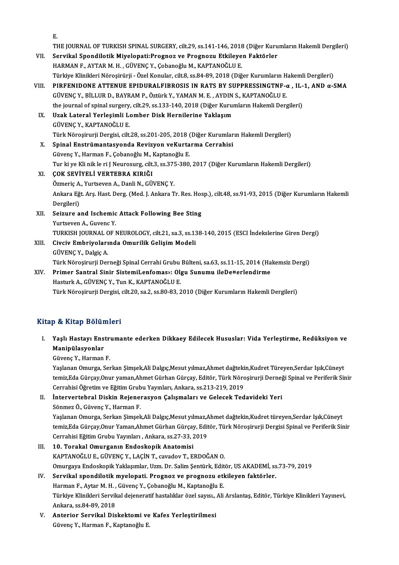E.

| Е.                                                                                                    |
|-------------------------------------------------------------------------------------------------------|
| THE JOURNAL OF TURKISH SPINAL SURGERY, cilt.29, ss.141-146, 2018 (Diğer Kurumların Hakemli Dergileri) |
| VII. Servikal Spondilotik Miyelopati: Prognoz ve Prognozu Etkileyen Faktörler                         |

- HARMANF.,AYTARM.H. ,GÜVENÇY.,ÇobanoğluM.,KAPTANOĞLUE. Servikal Spondilotik Miyelopati:Prognoz ve Prognozu Etkileyen Faktörler<br>HARMAN F., AYTAR M. H. , GÜVENÇ Y., Çobanoğlu M., KAPTANOĞLU E.<br>Türkiye Klinikleri Nöroşirürji - Özel Konular, cilt.8, ss.84-89, 2018 (Diğer Kurumları HARMAN F., AYTAR M. H. , GÜVENÇ Y., Çobanoğlu M., KAPTANOĞLU E.<br>Türkiye Klinikleri Nöroşirürji - Özel Konular, cilt.8, ss.84-89, 2018 (Diğer Kurumların Hakemli Dergileri)<br>VIII. PIRFENIDONE ATTENUE EPIDURALFIBROSIS IN
- Türkiye Klinikleri Nöroşirürji Özel Konular, cilt.8, ss.84-89, 2018 (Diğer Kurumların H<br>PIRFENIDONE ATTENUE EPIDURALFIBROSIS IN RATS BY SUPPRESSINGTNF-0<br>GÜVENÇ Y., BİLLUR D., BAYRAM P., Öztürk Y., YAMAN M. E. , AYDIN S., PIRFENIDONE ATTENUE EPIDURALFIBROSIS IN RATS BY SUPPRESSINGTNF-α , IL-<br>GÜVENÇ Y., BİLLUR D., BAYRAM P., Öztürk Y., YAMAN M. E. , AYDIN S., KAPTANOĞLU E.<br>the journal of spinal surgery, cilt.29, ss.133-140, 2018 (Diğer Kuru GÜVENÇ Y., BİLLUR D., BAYRAM P., Öztürk Y., YAMAN M. E. , AYDIN<br>the journal of spinal surgery, cilt.29, ss.133-140, 2018 (Diğer Kuruı<br>IX. Uzak Lateral Yerleşimli Lomber Disk Hernilerine Yaklaşım<br>CÜVENC Y. KAPTANOĞLU F
- the journal of spinal surgery<br>Uzak Lateral Yerleşimli Lo<br>GÜVENÇ Y., KAPTANOĞLU E.<br>Türk Nörosinurii Dergisi, silt Uzak Lateral Yerleşimli Lomber Disk Hernilerine Yaklaşım<br>GÜVENÇ Y., KAPTANOĞLU E.<br>Türk Nöroşirurji Dergisi, cilt.28, ss.201-205, 2018 (Diğer Kurumların Hakemli Dergileri)<br>Sninal Enstrümantasyonda Payizyon yaKurtarma Garrab GÜVENÇ Y., KAPTANOĞLU E.<br>Türk Nöroşirurji Dergisi, cilt.28, ss.201-205, 2018 (Diğer Kurumlar<br>X. Spinal Enstrümantasyonda Revizyon veKurtarma Cerrahisi<br>Güyene Y. Harman E. Cobaneğlu M. Kaptaneğlu E.
- X. Spinal Enstrümantasyonda Revizyon veKurtarma Cerrahisi<br>Güvenç Y., Harman F., Çobanoğlu M., Kaptanoğlu E. Spinal Enstrümantasyonda Revizyon veKurtarma Cerrahisi<br>Güvenç Y., Harman F., Çobanoğlu M., Kaptanoğlu E.<br>Tur ki ye Kli nik le ri J Neurosurg, cilt.3, ss.375-380, 2017 (Diğer Kurumların Hakemli Dergileri)<br>COK SEVİYELİ VERTE
- XI. ÇOK SEVİYELİ VERTEBRA KIRIĞI<br>Özmeriç A., Yurtseven A., Danli N., GÜVENÇ Y. Tur ki ye Kli nik le ri J Neurosurg, cilt.3, ss.37!<br>**ÇOK SEVİYELİ VERTEBRA KIRIĞI**<br>Özmeriç A., Yurtseven A., Danli N., GÜVENÇ Y.<br>Ankana Fĕt Are Hast Darg (Mad J. Ankana T ÇOK SEVİYELİ VERTEBRA KIRIĞI<br>Özmeriç A., Yurtseven A., Danli N., GÜVENÇ Y.<br>Ankara Eğt. Arş. Hast. Derg. (Med. J. Ankara Tr. Res. Hosp.), cilt.48, ss.91-93, 2015 (Diğer Kurumların Hakemli Özmeriç A.<br>Ankara Eğ<br>Dergileri)<br>Soizuna a Ankara Eğt. Arş. Hast. Derg. (Med. J. Ankara Tr. Res. Hos<br>Dergileri)<br>XII. Seizure and Ischemic Attack Following Bee Sting<br>Vintesuer A. Guyane V.
- Dergileri)<br>Seizure and Ischemic<br>Yurtseven A., Guvenc Y.<br>TURKISH JOURNAL OF I Seizure and Ischemic Attack Following Bee Sting<br>Yurtseven A., Guvenc Y.<br>TURKISH JOURNAL OF NEUROLOGY, cilt.21, sa.3, ss.138-140, 2015 (ESCI İndekslerine Giren Dergi)<br>Giyaiy Embriyolarında Omurilik Golisim Modoli Yurtseven A., Guvenc Y.<br>TURKISH JOURNAL OF NEUROLOGY, cilt.21, sa.3, ss.13<br>XIII. Civciv Embriyolarında Omurilik Gelişim Modeli<br>GÜVENC Y., Dalgic A.

TURKISH JOURNAL C<br><mark>Civciv Embriyoları</mark><br>GÜVENÇ Y., Dalgiç A.<br>Türk Nörosirurii Der Civciv Embriyolarında Omurilik Gelişim Modeli<br>GÜVENÇ Y., Dalgiç A.<br>Türk Nöroşirurji Derneği Spinal Cerrahi Grubu Bülteni, sa.63, ss.11-15, 2014 (Hakemsiz Dergi)<br>Primer Santral Sinir Sistemil enfoması: Olsu Sunumu ileDenerl GÜVENÇ Y., Dalgiç A.<br>Türk Nöroşirurji Derneği Spinal Cerrahi Grubu Bülteni, sa.63, ss.11-15, 2014 (Ha<br>XIV. Primer Santral Sinir SistemiLenfomas›: Olgu Sunumu ileDe¤erlendirme<br>Hasturk A. CÜVENC Y. Tun K. KAPTANOČLU F

Türk Nöroşirurji Derneği Spinal Cerrahi Grubu<br><mark>Primer Santral Sinir SistemiLenfomas»: Ol</mark><br>Hasturk A., GÜVENÇ Y., Tun K., KAPTANOĞLU E.<br>Türk Nörosirurji Dergisi, silt 20, sə 2, sə 90, 92, 2 XIV. Primer Santral Sinir SistemiLenfomas»: Olgu Sunumu ileDe¤erlendirme<br>Hasturk A., GÜVENÇ Y., Tun K., KAPTANOĞLU E.<br>Türk Nörosirurji Dergisi, cilt.20, sa.2, ss.80-83, 2010 (Diğer Kurumların Hakemli Dergileri)

#### Kitap & Kitap Bölümleri

itap & Kitap Bölümleri<br>I. Yaşlı Hastayı Enstrumante ederken Dikkaey Edilecek Hususlar: Vida Yerleştirme, Redüksiyon ve<br>Maninülasyanlar y & III.ap Dolar<br>Yaşlı Hastayı Ens<br>Manipülasyonlar Yaşlı Hastayı Enstr<br>Manipülasyonlar<br>Güvenç Y., Harman F.<br>Yaslanan Omunga San

Manipülasyonlar<br>Güvenç Y., Harman F.<br>Yaşlanan Omurga, Serkan Şimşek,Ali Dalgıç,Mesut yılmaz,Ahmet dağtekin,Kudret Türeyen,Serdar Işık,Cüneyt<br>temir Eda Gürsey Onur yaman Ahmet Gürben Gürsey, Editön Türk Nönesinyrii Demeği S Güvenç Y., Harman F.<br>Yaşlanan Omurga, Serkan Şimşek,Ali Dalgıç,Mesut yılmaz,Ahmet dağtekin,Kudret Türeyen,Serdar Işık,Cüneyt<br>temiz,Eda Gürçay,Onur yaman,Ahmet Gürhan Gürçay, Editör, Türk Nöroşirurji Derneği Spinal ve Perif Yaşlanan Omurga, Serkan Şimşek,Ali Dalgıç,Mesut yılmaz,Ahmet dağteki<br>temiz,Eda Gürçay,Onur yaman,Ahmet Gürhan Gürçay, Editör, Türk Nörc<br>Cerrahisi Öğretim ve Eğitim Grubu Yayınları, Ankara, ss.213-219, 2019<br>İntervettebral D temiz,Eda Gürçay,Onur yaman,Ahmet Gürhan Gürçay, Editör, Türk Nöroşirurji Derneği Spinal ve Periferik Sinir<br>Cerrahisi Öğretim ve Eğitim Grubu Yayınları, Ankara, ss.213-219, 2019<br>II. İntervertebral Diskin Rejenerasyon Çalış

SönmezÖ.,GüvençY.,HarmanF.

Yaşlanan Omurga, Serkan Şimşek,Ali Dalgıç,Mesut yılmaz,Ahmet dağtekin,Kudret türeyen,Serdar Işık,Cüneyt Sönmez Ö., Güvenç Y., Harman F.<br>Yaşlanan Omurga, Serkan Şimşek,Ali Dalgıç,Mesut yılmaz,Ahmet dağtekin,Kudret türeyen,Serdar Işık,Cüneyt<br>temiz,Eda Gürçay,Onur Yaman,Ahmet Gürhan Gürçay, Editör, Türk Nöroşirurji Dergisi Spin Yaşlanan Omurga, Serkan Şimşek,Ali Dalgıç,Mesut yılmaz,A<br>temiz,Eda Gürçay,Onur Yaman,Ahmet Gürhan Gürçay, Edit<br>Cerrahisi Eğitim Grubu Yayınları , Ankara, ss.27-33, 2019<br>10. Terakal Omurganın Endoskanik Anatamisi

- Cerrahisi Eğitim Grubu Yayınları, Ankara, ss.27-33, 2019<br>III. 10. Torakal Omurganın Endoskopik Anatomisi KAPTANOĞLUE.,GÜVENÇY.,LAÇİNT., cavadovT.,ERDOĞANO. 10. Torakal Omurganın Endoskopik Anatomisi<br>KAPTANOĞLU E., GÜVENÇ Y., LAÇİN T., cavadov T., ERDOĞAN O.<br>Omurgaya Endoskopik Yaklaşımlar, Uzm. Dr. Salim Şentürk, Editör, US AKADEMİ, ss.73-79, 2019<br>Servikal spendiletik muslana KAPTANOĞLU E., GÜVENÇ Y., LAÇİN T., cavadov T., ERDOĞAN O.<br>Omurgaya Endoskopik Yaklaşımlar, Uzm. Dr. Salim Şentürk, Editör, US AKADEMİ, ss<br>IV. Servikal spondilotik myelopati. Prognoz ve prognozu etkileyen faktörler.<br>Harman
- Omurgaya Endoskopik Yaklaşımlar, Uzm. Dr. Salim Şentürk, Edit<br>Servikal spondilotik myelopati. Prognoz ve prognozu etl<br>Harman F., Aytar M. H. , Güvenç Y., Çobanoğlu M., Kaptanoğlu E.<br>Türkiye Klinikleri Servikal dejaperetif Servikal spondilotik myelopati. Prognoz ve prognozu etkileyen faktörler.<br>Harman F., Aytar M. H. , Güvenç Y., Çobanoğlu M., Kaptanoğlu E.<br>Türkiye Klinikleri Servikal dejeneratif hastalıklar özel sayısı., Ali Arslantaş, Edit Harman F., Aytar M. H. , Güvenç Y., Çobanoğlu M., Kaptanoğlu E.<br>Türkiye Klinikleri Servikal dejeneratif hastalıklar özel sayısı., Ali<br>Ankara, ss.84-89, 2018<br>V. **Anterior Servikal Diskektomi ve Kafes Yerleştirilmesi** Türkiye Klinikleri Servikal dejeneratif hastalıklar özel sayısı.,<br>Ankara, ss.84-89, 2018<br>V. Anterior Servikal Diskektomi ve Kafes Yerleştirilmesi<br>Güyana V. Harman E. Kaptanağlu E
- GüvençY.,HarmanF.,KaptanoğluE.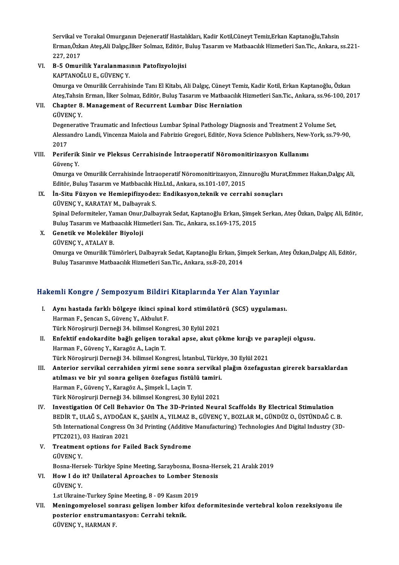Servikal ve Torakal Omurganın Dejeneratif Hastalıkları, Kadir Kotil,Cüneyt Temiz,Erkan Kaptanoğlu,Tahsin<br>Erman Öskan Atas Ali Delgıs İlkan Selman Editön Pulus Tesanım ve Mathasalık Higmatlari San Tis, Ankana Servikal ve Torakal Omurganın Dejeneratif Hastalıkları, Kadir Kotil,Cüneyt Temiz,Erkan Kaptanoğlu,Tahsin<br>Erman,Özkan Ateş,Ali Dalgıç,İlker Solmaz, Editör, Buluş Tasarım ve Matbaacılık Hizmetleri San.Tic., Ankara, ss.221-Servikal ve<br>Erman,Özk<br>227, 2017<br>B. E. Omun Erman,Özkan Ateş,Ali Dalgıç,İlker Solmaz, Editör, I<br>227, 2017<br>VI. B-5 Omurilik Yaralanmasının Patofizyolojisi<br><sup>VAPTANOČULE</sup> CÜVENC Y

## 227, 2017<br>B-5 Omurilik Yaralanması<br>KAPTANOĞLU E., GÜVENÇ Y.<br>Omurga ve Omurilik Cerrabis

KAPTANOĞLU E., GÜVENÇ Y.<br>Omurga ve Omurilik Cerrahisinde Tanı El Kitabı, Ali Dalgıç, Cüneyt Temiz, Kadir Kotil, Erkan Kaptanoğlu, Özkan KAPTANOĞLU E., GÜVENÇ Y.<br>Omurga ve Omurilik Cerrahisinde Tanı El Kitabı, Ali Dalgıç, Cüneyt Temiz, Kadir Kotil, Erkan Kaptanoğlu, Özkan<br>Ateş,Tahsin Erman, İlker Solmaz, Editör, Buluş Tasarım ve Matbaacılık Hizmetleri San.T

### VII. Chapter 8. Management of Recurrent Lumbar Disc Herniation<br>GÜVENC Y. Ateş,Tahsin<br>Chapter 8<br>GÜVENÇ Y.

Degenerative Traumatic and Infectious Lumbar Spinal Pathology Diagnosis and Treatment 2 Volume Set, GÜVENÇ Y.<br>Degenerative Traumatic and Infectious Lumbar Spinal Pathology Diagnosis and Treatment 2 Volume Set,<br>Alessandro Landi, Vincenza Maiola and Fabrizio Gregori, Editör, Nova Science Publishers, New-York, ss.79-90,<br>201 Degen<br>Alessa<br>2017<br>Perife Alessandro Landi, Vincenza Maiola and Fabrizio Gregori, Editör, Nova Science Publishers, New-<br>2017<br>VIII. Periferik Sinir ve Pleksus Cerrahisinde İntraoperatif Nöromonitirizasyon Kullanımı<br>Cüyene Y

## 2017<br>VIII. Periferik Sinir ve Pleksus Cerrahisinde İntraoperatif Nöromonitirizasyon Kullanımı<br>Güvenç Y. Periferik Sinir ve Pleksus Cerrahisinde İntraoperatif Nöromonitirizasyon Kullanımı<br>Güvenç Y.<br>Omurga ve Omurilik Cerrahisinde İntraoperatif Nöromonitirizasyon, Zinnuroğlu Murat,Emmez Hakan,Dalgıç Ali,<br>Editön Pulus Teserum v

Güvenç Y.<br>Omurga ve Omurilik Cerrahisinde İntraoperatif Nöromonitirizasyon, Zin<br>Editör, Buluş Tasarım ve Matbbacılık Hiz.Ltd., Ankara, ss.101-107, 2015<br>İn Situ Füsyon ve Hemionifisyodesı Endilseyon teknik ve sennel Omurga ve Omurilik Cerrahisinde İntraoperatif Nöromonitirizasyon, Zinnuroğlu Mura<br>Editör, Buluş Tasarım ve Matbbacılık Hiz.Ltd., Ankara, ss.101-107, 2015<br>IX. İn-Situ Füzyon ve Hemiepifizyodez: Endikasyon,teknik ve cerrahi

Editör, Buluş Tasarım ve Matbbacılık H<br>İn-Situ Füzyon ve Hemiepifizyode:<br>GÜVENÇ Y., KARATAY M., Dalbayrak S.<br>Sninel Defermiteler Yemen Onur Dalb İ<mark>n-Situ Füzyon ve Hemiepifizyodez: Endikasyon,teknik ve cerrahi sonuçları</mark><br>GÜVENÇ Y., KARATAY M., Dalbayrak S.<br>Spinal Deformiteler, Yaman Onur,Dalbayrak Sedat, Kaptanoğlu Erkan, Şimşek Serkan, Ateş Özkan, Dalgıç Ali, Edit GÜVENÇ Y., KARATAY M., Dalbayrak S.<br>Spinal Deformiteler, Yaman Onur,Dalbayrak Sedat, Kaptanoğlu Erkan, Şimşe.<br>Buluş Tasarım ve Matbaacılık Hizmetleri San. Tic., Ankara, ss.169-175, 2015<br>Conatik ve Maleküler Biyaleji Buluş Tasarım ve Matbaacılık Hizmetleri San. Tic., Ankara, ss.169-175, 2015

X. Genetik ve Moleküler Biyoloji<br>GÜVENÇ Y., ATALAY B.

Genetik ve Moleküler Biyoloji<br>GÜVENÇ Y., ATALAY B.<br>Omurga ve Omurilik Tümörleri, Dalbayrak Sedat, Kaptanoğlu Erkan, Şimşek Serkan, Ateş Özkan,Dalgıç Ali, Editör, GÜVENÇ Y., ATALAY B.<br>Omurga ve Omurilik Tümörleri, Dalbayrak Sedat, Kaptanoğlu Erkan, Şin<br>Buluş Tasarımve Matbaacılık Hizmetleri San.Tic., Ankara, ss.8-20, 2014

# Buluş Tasarımve Malbaaclılk Hizmelleri San,Tic., Ankara, ss.8-20, 2014<br>Hakemli Kongre / Sempozyum Bildiri Kitaplarında Yer Alan Yayınlar

- akemli Kongre / Sempozyum Bildiri Kitaplarında Yer Alan Yayınlar<br>I. Aynı hastada farklı bölgeye ikinci spinal kord stimülatörü (SCS) uygulaması.<br>Harman E. Sansan S. Güyane Y. Althulut E. Harman F., Şencan S., Güvenç Y., Akbulut F. Aynı hastada farklı bölgeye ikinci spinal kord stimülatörü (SCS) uygulaması. Harman F., Şencan S., Güvenç Y., Akbulut F.<br>Türk Nöroşirurji Derneği 34. bilimsel Kongresi, 30 Eylül 2021<br>II. Enfektif endokardite bağlı gelişen torakal apse, akut çökme kırığı ve parapleji olgusu.<br>Harman E. Güvene Y.
- Türk Nöroşirurji Derneği 34. bilimsel Kongresi, 30 Eylül 2021<br>Enfektif endokardite bağlı gelişen torakal apse, akut çökme kırığı ve p<br>Harman F., Güvenç Y., Karagöz A., Laçin T.<br>Türk Nöroşirurji Derneği 34. bilimsel Kongres Enfektif endokardite bağlı gelişen torakal apse, akut çökme kırığı ve pa<br>Harman F., Güvenç Y., Karagöz A., Laçin T.<br>Türk Nöroşirurji Derneği 34. bilimsel Kongresi, İstanbul, Türkiye, 30 Eylül 2021<br>Antarian sarvikal sarrabi Harman F., Güvenç Y., Karagöz A., Laçin T.<br>Türk Nöroşirurji Derneği 34. bilimsel Kongresi, İstanbul, Türkiye, 30 Eylül 2021<br>III. Anterior servikal cerrahiden yirmi sene sonra servikal plağın özefagustan girerek barsaklarda
- Türk Nöroşirurji Derneği 34. bilimsel Kongresi, İstanbul, Türkiy<br>Anterior servikal cerrahiden yirmi sene sonra servikal<br>atılması ve bir yıl sonra gelişen özefagus fistülü tamiri.<br>Harman E. Güyene V. Karagör A. Simsek İ. La Anterior servikal cerrahiden yirmi sene sonra<br>atılması ve bir yıl sonra gelişen özefagus fistü<br>Harman F., Güvenç Y., Karagöz A., Şimşek İ., Laçin T.<br>Türk Nörosinurii Derneği 34 bilimsel Kongresi 30 I atılması ve bir yıl sonra gelişen özefagus fistülü tamiri.<br>Harman F., Güvenç Y., Karagöz A., Şimşek İ., Laçin T.<br>Türk Nöroşirurji Derneği 34. bilimsel Kongresi, 30 Eylül 2021
- IV. Investigation Of Cel Behavior On The 3D-Printed Neural Scaffolds By Electrical Stimulation Türk Nöroşirurji Derneği 34. bilimsel Kongresi, 30 Eylül 2021<br>Investigation Of Cell Behavior On The 3D-Printed Neural Scaffolds By Electrical Stimulation<br>BEDİR T., ULAĞ S., AYDOĞAN K., ŞAHİN A., YILMAZ B., GÜVENÇ Y., BOZLA Investigation Of Cell Behavior On The 3D-Printed Neural Scaffolds By Electrical Stimulation<br>BEDİR T., ULAĞ S., AYDOĞAN K., ŞAHİN A., YILMAZ B., GÜVENÇ Y., BOZLAR M., GÜNDÜZ O., ÜSTÜNDAĞ C. B.<br>5th International Congress On BEDİR T., ULAĞ S., AYDOĞAN<br>5th International Congress O<br>PTC2021), 03 Haziran 2021<br>Treatment ontions for Fe 5th International Congress On 3d Printing (Additive Manufacturing) Technologies And Digital Industry (3D-<br>PTC2021), 03 Haziran 2021<br>V. Treatment options for Failed Back Syndrome<br>GÜVENC Y. PTC2021), 03 Haziran 2021
- Treatment options for Failed Back Syndrome<br>GÜVENÇ Y.<br>Bosna-Hersek- Türkiye Spine Meeting, Saraybosna, Bosna-Hersek, 21 Aralık 2019<br>How I de it? Unilateral Annasabes ta Lember Stanesis GÜVENÇ Y.<br>Bosna-Hersek- Türkiye Spine Meeting, Saraybosna, Bosna-Her<br>VI. How I do it? Unilateral Aproaches to Lomber Stenosis<br>CÜVENC V
- Bosna-Hers<br>How I do<br>GÜVENÇ Y.<br>1 et Ulresine How I do it? Unilateral Aproaches to Lomber Ste<br>GÜVENÇ Y.<br>1.st Ukraine-Turkey Spine Meeting, 8 - 09 Kasım 2019<br>Maningamualasal sannası gelişan lambar kifar d

GÜVENÇ Y.<br>1.st Ukraine-Turkey Spine Meeting, 8 - 09 Kasım 2019<br>VII. Meningomyelosel sonrası gelişen lomber kifoz deformitesinde vertebral kolon rezeksiyonu ile<br>postarior anatayyonu fasyonu Carrabi takışlı 1.st Ukraine-Turkey Spine Meeting, 8 - 09 Kasım 2019<br>Meningomyelosel sonrası gelişen lomber kifoz o<br>posterior enstrumantasyon: Cerrahi teknik.<br>GÜVENÇ Y., HARMAN F. Meningomyelosel soı<br>posterior enstruman<br>GÜVENÇ Y., HARMAN F.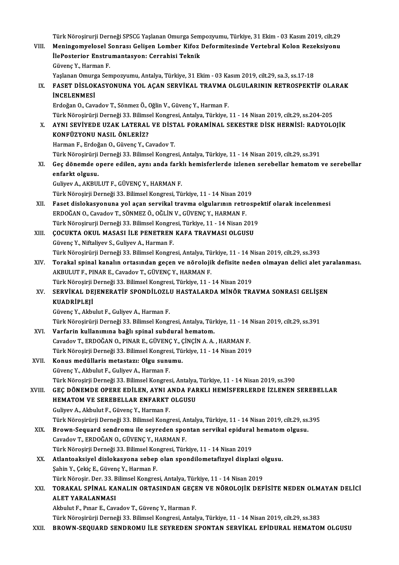|        | Türk Nöroşirurji Derneği SPSCG Yaşlanan Omurga Sempozyumu, Türkiye, 31 Ekim - 03 Kasım 2019, cilt.29                                                                                          |
|--------|-----------------------------------------------------------------------------------------------------------------------------------------------------------------------------------------------|
| VIII.  | Meningomyelosel Sonrası Gelişen Lomber Kifoz Deformitesinde Vertebral Kolon Rezeksiyonu                                                                                                       |
|        | İlePosterior Enstrumantasyon: Cerrahisi Teknik                                                                                                                                                |
|        | Güvenç Y., Harman F.                                                                                                                                                                          |
|        | Yaşlanan Omurga Sempozyumu, Antalya, Türkiye, 31 Ekim - 03 Kasım 2019, cilt.29, sa.3, ss.17-18                                                                                                |
| IX.    | FASET DISLOKASYONUNA YOL AÇAN SERVIKAL TRAVMA OLGULARININ RETROSPEKTIF OLARAK<br><b>İNCELENMESİ</b>                                                                                           |
|        | Erdoğan O., Cavadov T., Sönmez Ö., Oğlin V., Güvenç Y., Harman F.                                                                                                                             |
|        |                                                                                                                                                                                               |
|        | Türk Nöroşirürji Derneği 33. Bilimsel Kongresi, Antalya, Türkiye, 11 - 14 Nisan 2019, cilt.29, ss.204-205<br>AYNI SEVİYEDE UZAK LATERAL VE DİSTAL FORAMİNAL SEKESTRE DİSK HERNİSİ: RADYOLOJİK |
| X.     | KONFÜZYONU NASIL ÖNLERİZ?                                                                                                                                                                     |
|        | Harman F., Erdoğan O., Güvenç Y., Cavadov T.                                                                                                                                                  |
|        | Türk Nöroşirürji Derneği 33. Bilimsel Kongresi, Antalya, Türkiye, 11 - 14 Nisan 2019, cilt.29, ss.391                                                                                         |
| XI.    | Geç dönemde opere edilen, aynı anda farklı hemisferlerde izlenen serebellar hematom ve serebellar                                                                                             |
|        | enfarkt olgusu.                                                                                                                                                                               |
|        | Guliyev A., AKBULUT F., GÜVENÇ Y., HARMAN F.                                                                                                                                                  |
|        | Türk Nöroşirji Derneği 33. Bilimsel Kongresi, Türkiye, 11 - 14 Nisan 2019                                                                                                                     |
| XII.   | Faset dislokasyonuna yol açan servikal travma olgularının retrospektif olarak incelenmesi                                                                                                     |
|        | ERDOĞAN O., Cavadov T., SÖNMEZ Ö., OĞLİN V., GÜVENÇ Y., HARMAN F.                                                                                                                             |
|        | Türk Nöroşirurji Derneği 33. Bilimsel Kongresi, Türkiye, 11 - 14 Nisan 2019                                                                                                                   |
| XIII.  | ÇOCUKTA OKUL MASASI İLE PENETREN KAFA TRAVMASI OLGUSU                                                                                                                                         |
|        | Güvenç Y., Niftaliyev S., Guliyev A., Harman F.                                                                                                                                               |
|        | Türk Nöroşirürji Derneği 33. Bilimsel Kongresi, Antalya, Türkiye, 11 - 14 Nisan 2019, cilt.29, ss.393                                                                                         |
| XIV.   | Torakal spinal kanalın ortasından geçen ve nörolojik defisite neden olmayan delici alet yaralanması.                                                                                          |
|        | AKBULUT F., PINAR E., Cavadov T., GÜVENÇ Y., HARMAN F.                                                                                                                                        |
|        | Türk Nöroşirji Derneği 33. Bilimsel Kongresi, Türkiye, 11 - 14 Nisan 2019                                                                                                                     |
| XV.    | SERVİKAL DEJENERATİF SPONDİLOZLU HASTALARDA MİNÖR TRAVMA SONRASI GELİŞEN                                                                                                                      |
|        | KUADRİPLEJİ                                                                                                                                                                                   |
|        | Güvenç Y., Akbulut F., Guliyev A., Harman F.                                                                                                                                                  |
|        | Türk Nöroşirürji Derneği 33. Bilimsel Kongresi, Antalya, Türkiye, 11 - 14 Nisan 2019, cilt.29, ss.391                                                                                         |
| XVI.   | Varfarin kullanımına bağlı spinal subdural hematom.                                                                                                                                           |
|        | Cavadov T., ERDOĞAN O., PINAR E., GÜVENÇ Y., ÇİNÇİN A. A., HARMAN F.                                                                                                                          |
|        | Türk Nöroşirji Derneği 33. Bilimsel Kongresi, Türkiye, 11 - 14 Nisan 2019                                                                                                                     |
| XVII.  | Konus medüllaris metastazı: Olgu sunumu.                                                                                                                                                      |
|        | Güvenç Y., Akbulut F., Guliyev A., Harman F.                                                                                                                                                  |
|        | Türk Nöroşirji Derneği 33. Bilimsel Kongresi, Antalya, Türkiye, 11 - 14 Nisan 2019, ss.390                                                                                                    |
| XVIII. | GEC DÖNEMDE OPERE EDİLEN, AYNI ANDA FARKLI HEMİSFERLERDE İZLENEN SEREBELLAR                                                                                                                   |
|        | HEMATOM VE SEREBELLAR ENFARKT OLGUSU                                                                                                                                                          |
|        | Guliyev A., Akbulut F., Güvenç Y., Harman F.                                                                                                                                                  |
|        | Türk Nöroşirürji Derneği 33. Bilimsel Kongresi, Antalya, Türkiye, 11 - 14 Nisan 2019, cilt.29, ss.395                                                                                         |
| XIX.   | Brown-Sequard sendromu ile seyreden spontan servikal epidural hematom olgusu.                                                                                                                 |
|        | Cavadov T, ERDOĞAN O, GÜVENÇ Y, HARMAN F.                                                                                                                                                     |
|        | Türk Nöroşirji Derneği 33. Bilimsel Kongresi, Türkiye, 11 - 14 Nisan 2019                                                                                                                     |
| XX.    | Atlantoaksiyel dislokasyona sebep olan spondilometafizyel displazi olgusu.                                                                                                                    |
|        | Şahin Y., Çekiç E., Güvenç Y., Harman F.                                                                                                                                                      |
|        | Türk Nöroşir. Der. 33. Bilimsel Kongresi, Antalya, Türkiye, 11 - 14 Nisan 2019                                                                                                                |
| XXI.   | TORAKAL SPİNAL KANALIN ORTASINDAN GEÇEN VE NÖROLOJİK DEFİSİTE NEDEN OLMAYAN DELİCİ                                                                                                            |
|        | ALET YARALANMASI                                                                                                                                                                              |
|        | Akbulut F., Pinar E., Cavadov T., Güvenç Y., Harman F.                                                                                                                                        |
|        | Türk Nöroşirürji Derneği 33. Bilimsel Kongresi, Antalya, Türkiye, 11 - 14 Nisan 2019, cilt.29, ss.383                                                                                         |
| XXII.  | BROWN-SEQUARD SENDROMU ILE SEYREDEN SPONTAN SERVIKAL EPIDURAL HEMATOM OLGUSU                                                                                                                  |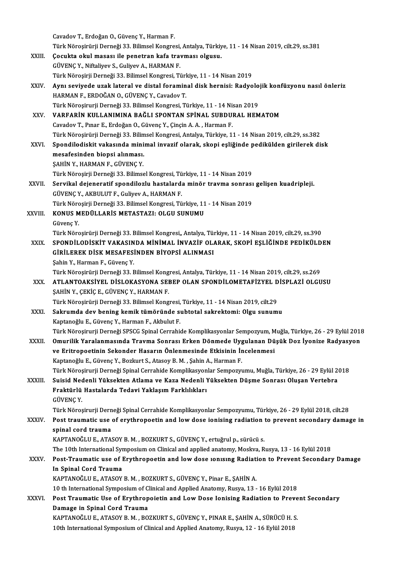|             | Cavadov T., Erdoğan O., Güvenç Y., Harman F.                                                                  |
|-------------|---------------------------------------------------------------------------------------------------------------|
|             | Türk Nöroşirürji Derneği 33. Bilimsel Kongresi, Antalya, Türkiye, 11 - 14 Nisan 2019, cilt.29, ss.381         |
| XXIII.      | Çocukta okul masası ile penetran kafa travması olgusu.                                                        |
|             | GÜVENÇ Y., Niftaliyev S., Guliyev A., HARMAN F.                                                               |
|             | Türk Nöroşirji Derneği 33. Bilimsel Kongresi, Türkiye, 11 - 14 Nisan 2019                                     |
| XXIV.       | Aynı seviyede uzak lateral ve distal foraminal disk hernisi: Radyolojik konfüzyonu nasıl önleriz              |
|             | HARMAN F., ERDOĞAN O., GÜVENÇ Y., Cavadov T.                                                                  |
|             | Türk Nöroşirurji Derneği 33. Bilimsel Kongresi, Türkiye, 11 - 14 Nisan 2019                                   |
| XXV.        | VARFARİN KULLANIMINA BAĞLI SPONTAN SPİNAL SUBDURAL HEMATOM                                                    |
|             | Cavadov T., Pınar E., Erdoğan O., Güvenç Y., Çinçin A. A., Harman F.                                          |
|             | Türk Nöroşirürji Derneği 33. Bilimsel Kongresi, Antalya, Türkiye, 11 - 14 Nisan 2019, cilt.29, ss.382         |
| XXVI.       | Spondilodiskit vakasında minimal invazif olarak, skopi eşliğinde pedikülden girilerek disk                    |
|             | mesafesinden biopsi alınması.                                                                                 |
|             | ŞAHİN Y., HARMAN F., GÜVENÇ Y.                                                                                |
|             | Türk Nöroşirji Derneği 33. Bilimsel Kongresi, Türkiye, 11 - 14 Nisan 2019                                     |
| XXVII.      | Servikal dejeneratif spondilozlu hastalarda minör travma sonrası gelişen kuadripleji.                         |
|             | GÜVENÇ Y., AKBULUT F., Guliyev A., HARMAN F.                                                                  |
|             | Türk Nöroşirji Derneği 33. Bilimsel Kongresi, Türkiye, 11 - 14 Nisan 2019                                     |
| XXVIII.     | KONUS MEDÜLLARİS METASTAZI: OLGU SUNUMU                                                                       |
|             | Güvenç Y.                                                                                                     |
|             | Türk Nöroşirürji Derneği 33. Bilimsel Kongresi,, Antalya, Türkiye, 11 - 14 Nisan 2019, cilt.29, ss.390        |
| XXIX.       | SPONDİLODİSKİT VAKASINDA MİNİMAL İNVAZİF OLARAK, SKOPİ EŞLİĞİNDE PEDİKÜLDEN                                   |
|             | GİRİLEREK DİSK MESAFESİNDEN BİYOPSİ ALINMASI                                                                  |
|             | Şahin Y., Harman F., Güvenç Y.                                                                                |
|             | Türk Nöroşirürji Derneği 33. Bilimsel Kongresi, Antalya, Türkiye, 11 - 14 Nisan 2019, cilt.29, ss.269         |
| XXX.        | ATLANTOAKSIYEL DISLOKASYONA SEBEP OLAN SPONDILOMETAFIZYEL DISPLAZI OLGUSU                                     |
|             | SAHIN Y., CEKİÇ E., GÜVENÇ Y., HARMAN F.                                                                      |
|             | Türk Nöroşirürji Derneği 33. Bilimsel Kongresi, Türkiye, 11 - 14 Nisan 2019, cilt.29                          |
| <b>XXXI</b> | Sakrumda dev bening kemik tümöründe subtotal sakrektomi: Olgu sunumu                                          |
|             | Kaptanoğlu E., Güvenç Y., Harman F., Akbulut F.                                                               |
|             | Türk Nöroşirurji Derneği SPSCG Spinal Cerrahide Komplikasyonlar Sempozyum, Muğla, Türkiye, 26 - 29 Eylül 2018 |
| XXXII.      | Omurilik Yaralanmasında Travma Sonrası Erken Dönmede Uygulanan Düşük Doz İyonize Radyasyon                    |
|             | ve Eritropoetinin Sekonder Hasarın Önlenmesinde Etkisinin İncelenmesi                                         |
|             | Kaptanoğlu E., Güvenç Y., Bozkurt S., Atasoy B. M., Şahin A., Harman F.                                       |
|             | Türk Nöroşirurji Derneği Spinal Cerrahide Komplikasyonlar Sempozyumu, Muğla, Türkiye, 26 - 29 Eylül 2018      |
| XXXIII.     | Suisid Nedenli Yüksekten Atlama ve Kaza Nedenli Yüksekten Düşme Sonrası Oluşan Vertebra                       |
|             | Fraktürlü Hastalarda Tedavi Yaklaşım Farklılıkları                                                            |
|             | <b>GÜVENÇ Y</b>                                                                                               |
|             | Türk Nöroşirurji Derneği Spinal Cerrahide Komplikasyonlar Sempozyumu, Türkiye, 26 - 29 Eylül 2018, cilt.28    |
| XXXIV       | Post traumatic use of erythropoetin and low dose ionising radiation to prevent secondary damage in            |
|             | spinal cord trauma                                                                                            |
|             | KAPTANOĞLU E., ATASOY B. M., BOZKURT S., GÜVENÇ Y., ertuğrul p., sürücü s.                                    |
|             | The 10th International Symposium on Clinical and applied anatomy, Moskva, Rusya, 13 - 16 Eylül 2018           |
| XXXV.       | Post-Traumatic use of Erythropoetin and low dose ionising Radiation to Prevent Secondary Damage               |
|             | In Spinal Cord Trauma                                                                                         |
|             | KAPTANOĞLU E., ATASOY B. M., BOZKURT S., GÜVENÇ Y., Pinar E., ŞAHİN A.                                        |
|             | 10 th International Symposium of Clinical and Applied Anatomy, Rusya, 13 - 16 Eylül 2018                      |
| XXXVI.      | Post Traumatic Use of Erythropoietin and Low Dose Ionising Radiation to Prevent Secondary                     |
|             | Damage in Spinal Cord Trauma                                                                                  |
|             | KAPTANOĞLU E., ATASOY B. M., BOZKURT S., GÜVENÇ Y., PINAR E., ŞAHİN A., SÜRÜCÜ H. S.                          |
|             | 10th International Symposium of Clinical and Applied Anatomy, Rusya, 12 - 16 Eylül 2018                       |
|             |                                                                                                               |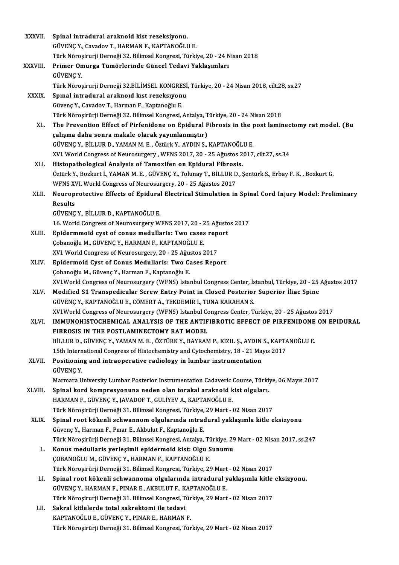| XXXVII.      | Spinal intradural araknoid kist rezeksiyonu.                                                                                                               |
|--------------|------------------------------------------------------------------------------------------------------------------------------------------------------------|
|              | GÜVENÇ Y., Cavadov T., HARMAN F., KAPTANOĞLU E.                                                                                                            |
|              | Türk Nöroşirurji Derneği 32. Bilimsel Kongresi, Türkiye, 20 - 24 Nisan 2018                                                                                |
| XXXVIII.     | Primer Omurga Tümörlerinde Güncel Tedavi Yaklaşımları                                                                                                      |
|              | <b>GÜVENÇ Y</b>                                                                                                                                            |
|              | Türk Nöroşirurji Derneği 32.BİLİMSEL KONGRESİ, Türkiye, 20 - 24 Nisan 2018, cilt.28, ss.27                                                                 |
| <b>XXXIX</b> | Spinal intradural araknoid kist rezeksiyonu                                                                                                                |
|              | Güvenç Y., Cavadov T., Harman F., Kaptanoğlu E.                                                                                                            |
|              | Türk Nöroşirürji Derneği 32. Bilimsel Kongresi, Antalya, Türkiye, 20 - 24 Nisan 2018                                                                       |
| XL.          | The Prevention Effect of Pirfenidone on Epidural Fibrosis in the post laminectomy rat model. (Bu                                                           |
|              | çalışma daha sonra makale olarak yayımlanmıştır)                                                                                                           |
|              | GÜVENÇ Y., BİLLUR D., YAMAN M. E., Öztürk Y., AYDIN S., KAPTANOĞLU E.                                                                                      |
|              | XVI. World Congress of Neurosurgery, WFNS 2017, 20 - 25 Ağustos 2017, cilt.27, ss.34                                                                       |
| XLI.         | Histopathological Analysis of Tamoxifen on Epidural Fibrosis.                                                                                              |
|              | Öztürk Y., Bozkurt İ., YAMAN M. E. , GÜVENÇ Y., Tolunay T., BİLLUR D., Şentürk S., Erbay F. K. , Bozkurt G.                                                |
|              | WFNS XVI. World Congress of Neurosurgery, 20 - 25 Ağustos 2017                                                                                             |
| XLII.        | Neuroprotective Effects of Epidural Electrical Stimulation in Spinal Cord Injury Model: Preliminary                                                        |
|              | Results                                                                                                                                                    |
|              | GÜVENÇ Y., BİLLUR D., KAPTANOĞLU E.                                                                                                                        |
|              | 16. World Congress of Neurosurgery WFNS 2017, 20 - 25 Ağustos 2017                                                                                         |
| XLIII.       | Epidermmoid cyst of conus medullaris: Two cases report                                                                                                     |
|              | Çobanoğlu M., GÜVENÇ Y., HARMAN F., KAPTANOĞLU E.                                                                                                          |
|              | XVI. World Congress of Neurosurgery, 20 - 25 Ağustos 2017                                                                                                  |
| XLIV.        | Epidermoid Cyst of Conus Medullaris: Two Cases Report                                                                                                      |
|              | Çobanoğlu M., Güvenç Y., Harman F., Kaptanoğlu E.                                                                                                          |
|              | XVI.World Congress of Neurosurgery (WFNS) Istanbul Congress Center, İstanbul, Türkiye, 20 - 25 Ağustos 2017                                                |
| XLV.         | Modified S1 Transpedicular Screw Entry Point in Closed Posterior Superior İliac Spine<br>GÜVENÇ Y., KAPTANOĞLU E., CÖMERT A., TEKDEMİR İ., TUNA KARAHAN S. |
|              | XVI.World Congress of Neurosurgery (WFNS) Istanbul Congress Center, Türkiye, 20 - 25 Ağustos 2017                                                          |
| XLVI.        | IMMUNOHISTOCHEMICAL ANALYSIS OF THE ANTIFIBROTIC EFFECT OF PIRFENIDONE ON EPIDURAL                                                                         |
|              | FIBROSIS IN THE POSTLAMINECTOMY RAT MODEL                                                                                                                  |
|              | BİLLUR D., GÜVENÇ Y., YAMAN M. E., ÖZTÜRK Y., BAYRAM P., KIZIL Ş., AYDIN S., KAPTANOĞLU E.                                                                 |
|              | 15th International Congress of Histochemistry and Cytochemistry, 18 - 21 Mayıs 2017                                                                        |
| XLVII.       | Positioning and intraoperative radiology in lumbar instrumentation                                                                                         |
|              | <b>GÜVENÇ Y</b>                                                                                                                                            |
|              | Marmara University Lumbar Posterior Instrumentation Cadaveric Course, Türkiye, 06 Mayıs 2017                                                               |
| XLVIII.      | Spinal kord kompresyonuna neden olan torakal araknoid kist olguları.                                                                                       |
|              | HARMAN F., GÜVENÇ Y., JAVADOF T., GULİYEV A., KAPTANOĞLU E.                                                                                                |
|              | Türk Nöroşirürji Derneği 31. Bilimsel Kongresi, Türkiye, 29 Mart - 02 Nisan 2017                                                                           |
| XLIX.        | Spinal root kökenli schwannom olgularında ıntradural yaklaşımla kitle eksizyonu                                                                            |
|              | Güvenç Y., Harman F., Pınar E., Akbulut F., Kaptanoğlu E.                                                                                                  |
|              | Türk Nöroşirürji Derneği 31. Bilimsel Kongresi, Antalya, Türkiye, 29 Mart - 02 Nisan 2017, ss.247                                                          |
| L.           | Konus medullaris yerleşimli epidermoid kist: Olgu Sunumu                                                                                                   |
|              | ÇOBANOĞLU M., GÜVENÇ Y., HARMAN F., KAPTANOĞLU E.                                                                                                          |
|              | Türk Nöroşirürji Derneği 31. Bilimsel Kongresi, Türkiye, 29 Mart - 02 Nisan 2017                                                                           |
| LI.          | Spinal root kökenli schwannoma olgularında intradural yaklaşımla kitle eksizyonu.                                                                          |
|              | GÜVENÇ Y., HARMAN F., PINAR E., AKBULUT F., KAPTANOĞLU E.                                                                                                  |
|              | Türk Nöroşirurji Derneği 31. Bilimsel Kongresi, Türkiye, 29 Mart - 02 Nisan 2017                                                                           |
| LII.         | Sakral kitlelerde total sakrektomi ile tedavi                                                                                                              |
|              | KAPTANOĞLU E., GÜVENÇ Y., PINAR E., HARMAN F.                                                                                                              |
|              | Türk Nöroşirürji Derneği 31. Bilimsel Kongresi, Türkiye, 29 Mart - 02 Nisan 2017                                                                           |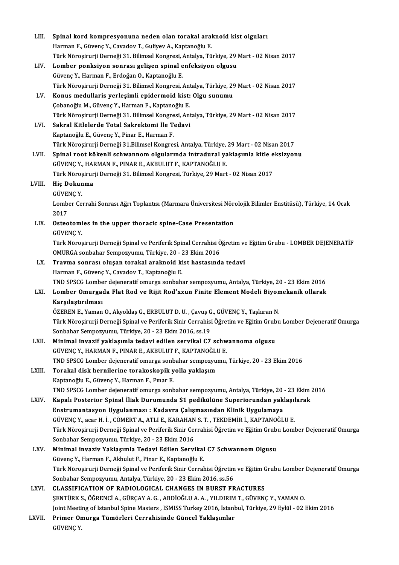| LIII.  | Spinal kord kompresyonuna neden olan torakal araknoid kist olguları                                                                          |
|--------|----------------------------------------------------------------------------------------------------------------------------------------------|
|        | Harman F., Güvenç Y., Cavadov T., Guliyev A., Kaptanoğlu E.                                                                                  |
|        | Türk Nöroşirurji Derneği 31. Bilimsel Kongresi, Antalya, Türkiye, 29 Mart - 02 Nisan 2017                                                    |
| LIV.   | Lomber ponksiyon sonrası gelişen spinal enfeksiyon olgusu                                                                                    |
|        | Güvenç Y., Harman F., Erdoğan O., Kaptanoğlu E.                                                                                              |
|        | Türk Nöroşirurji Derneği 31. Bilimsel Kongresi, Antalya, Türkiye, 29 Mart - 02 Nisan 2017                                                    |
| LV.    | Konus medullaris yerleşimli epidermoid kist: Olgu sunumu                                                                                     |
|        | Çobanoğlu M., Güvenç Y., Harman F., Kaptanoğlu E.                                                                                            |
|        | Türk Nöroşirurji Derneği 31. Bilimsel Kongresi, Antalya, Türkiye, 29 Mart - 02 Nisan 2017                                                    |
| LVI.   | Sakral Kitlelerde Total Sakrektomi İle Tedavi                                                                                                |
|        | Kaptanoğlu E., Güvenç Y., Pinar E., Harman F.                                                                                                |
|        |                                                                                                                                              |
|        | Türk Nöroşirurji Derneği 31.Bilimsel Kongresi, Antalya, Türkiye, 29 Mart - 02 Nisan 2017                                                     |
| LVII.  | Spinal root kökenli schwannom olgularında intradural yaklaşımla kitle eksizyonu<br>GÜVENÇ Y., HARMAN F., PINAR E., AKBULUT F., KAPTANOĞLU E. |
|        | Türk Nöroşirurji Derneği 31. Bilimsel Kongresi, Türkiye, 29 Mart - 02 Nisan 2017                                                             |
| LVIII. | Hiç Dokunma                                                                                                                                  |
|        | <b>GÜVENÇ Y</b>                                                                                                                              |
|        | Lomber Cerrahi Sonrası Ağrı Toplantısı (Marmara Üniversitesi Nörolojik Bilimler Enstitüsü), Türkiye, 14 Ocak<br>2017                         |
| LIX.   | Osteotomies in the upper thoracic spine-Case Presentation                                                                                    |
|        | <b>GÜVENÇY</b>                                                                                                                               |
|        | Türk Nöroşirurji Derneği Spinal ve Periferik Spinal Cerrahisi Öğretim ve Eğitim Grubu - LOMBER DEJENERATİF                                   |
|        | OMURGA sonbahar Sempozyumu, Türkiye, 20 - 23 Ekim 2016                                                                                       |
| LX.    | Travma sonrası oluşan torakal araknoid kist hastasında tedavi                                                                                |
|        | Harman F., Güvenç Y., Cavadov T., Kaptanoğlu E.                                                                                              |
|        | TND SPSCG Lomber dejeneratif omurga sonbahar sempozyumu, Antalya, Türkiye, 20 - 23 Ekim 2016                                                 |
| LXI.   | Lomber Omurgada Flat Rod ve Rijit Rod'xxun Finite Element Modeli Biyomekanik ollarak                                                         |
|        | Karşılaştırılması                                                                                                                            |
|        | ÖZEREN E., Yaman O., Akyoldaş G., ERBULUT D. U., Çavuş G., GÜVENÇ Y., Taşkıran N.                                                            |
|        | Türk Nöroşirurji Derneği Spinal ve Periferik Sinir Cerrahisi Öğretim ve Eğitim Grubu Lomber Dejeneratif Omurga                               |
|        | Sonbahar Sempozyumu, Türkiye, 20 - 23 Ekim 2016, ss.19                                                                                       |
| LXII.  | Minimal invazif yaklaşımla tedavi edilen servikal C7 schwannoma olgusu                                                                       |
|        | GÜVENÇ Y., HARMAN F., PINAR E., AKBULUT F., KAPTANOĞLU E.                                                                                    |
|        | TND SPSCG Lomber dejeneratif omurga sonbahar sempozyumu, Türkiye, 20 - 23 Ekim 2016                                                          |
| LXIII. | Torakal disk hernilerine torakoskopik yolla yaklaşım                                                                                         |
|        | Kaptanoğlu E., Güvenç Y., Harman F., Pınar E.                                                                                                |
|        | TND SPSCG Lomber dejeneratif omurga sonbahar sempozyumu, Antalya, Türkiye, 20 - 23 Ekim 2016                                                 |
| LXIV.  | Kapalı Posterior Spinal İliak Durumunda S1 pedikülüne Superiorundan yaklaşılarak                                                             |
|        | Enstrumantasyon Uygulanması: Kadavra Çalışmasından Klinik Uygulamaya                                                                         |
|        | GÜVENÇ Y., acar H. İ., CÖMERT A., ATLI E., KARAHAN S. T., TEKDEMİR İ., KAPTANOĞLU E.                                                         |
|        | Türk Nöroşirurji Derneği Spinal ve Periferik Sinir Cerrahisi Öğretim ve Eğitim Grubu Lomber Dejeneratif Omurga                               |
|        | Sonbahar Sempozyumu, Türkiye, 20 - 23 Ekim 2016                                                                                              |
| LXV.   | Minimal invaziv Yaklaşımla Tedavi Edilen Servikal C7 Schwannom Olgusu                                                                        |
|        | Güvenç Y., Harman F., Akbulut F., Pinar E., Kaptanoğlu E.                                                                                    |
|        | Türk Nöroşirurji Derneği Spinal ve Periferik Sinir Cerrahisi Öğretim ve Eğitim Grubu Lomber Dejeneratif Omurga                               |
|        | Sonbahar Sempozyumu, Antalya, Türkiye, 20 - 23 Ekim 2016, ss.56                                                                              |
| LXVI.  | <b>CLASSIFICATION OF RADIOLOGICAL CHANGES IN BURST FRACTURES</b>                                                                             |
|        | ŞENTÜRK S., ÖĞRENCİ A., GÜRÇAY A. G. , ABDİOĞLU A. A. , YILDIRIM T., GÜVENÇ Y., YAMAN O.                                                     |
|        | Joint Meeting of Istanbul Spine Masters, ISMISS Turkey 2016, İstanbul, Türkiye, 29 Eylül - 02 Ekim 2016                                      |
| LXVII. | Primer Omurga Tümörleri Cerrahisinde Güncel Yaklaşımlar                                                                                      |
|        | <b>GÜVENÇY.</b>                                                                                                                              |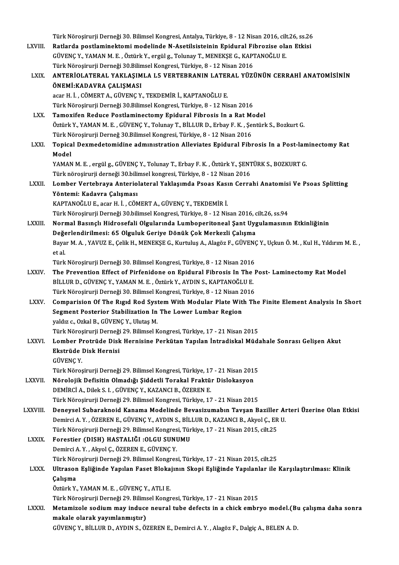Türk Nöroşirurji Derneği 30. Bilimsel Kongresi, Antalya, Türkiye, 8 - 12 Nisan 2016, cilt.26, ss.26<br>Patlarda postlaminaltami modelinde N. Asstilsistejnin Enidural Eihneries alan Etkisi

- Türk Nöroşirurji Derneği 30. Bilimsel Kongresi, Antalya, Türkiye, 8 12 Nisan 2016, cilt.26, ss.26<br>LXVIII. Ratlarda postlaminektomi modelinde N-Asetilsisteinin Epidural Fibrozise olan Etkisi Türk Nöroşirurji Derneği 30. Bilimsel Kongresi, Antalya, Türkiye, 8 - 12 Nisan 2016, cilt<br>Ratlarda postlaminektomi modelinde N-Asetilsisteinin Epidural Fibrozise ola<br>GÜVENÇ Y., YAMAN M. E. , Öztürk Y., ergül g., Tolunay T. Ratlarda postlaminektomi modelinde N-Asetilsisteinin Epidural Fibrozise olan Etkisi<br>GÜVENC Y., YAMAN M. E., Öztürk Y., ergül g., Tolunay T., MENEKSE G., KAPTANOĞLU E. Türk Nöroşirurji Derneği 30. Bilimsel Kongresi, Türkiye, 8 - 12 Nisan 2016
- LXIX. ANTERİOLATERAL YAKLAŞIMLA L5 VERTEBRANIN LATERAL YÜZÜNÜN CERRAHİ ANATOMİSİNİN ANTERİOLATERAL YAKLAŞIMLA L5 VERTEBRANIN LATEF<br>ÖNEMİ:KADAVRA ÇALIŞMASI<br>acar H. İ. , CÖMERT A., GÜVENÇ Y., TEKDEMİR İ., KAPTANOĞLU E.<br>Türk Nörosirurü Dornaği 30 Bilimsel Kongresi Türkiye 8 - 12 Ni
- <mark>ÖNEMİ:KADAVRA ÇALIŞMASI</mark><br>acar H. İ. , CÖMERT A., GÜVENÇ Y., TEKDEMİR İ., KAPTANOĞLU E.<br>Türk Nöroşirurji Derneği 30.Bilimsel Kongresi, Türkiye, 8 12 Nisan 2016<br>Tamayifan Baduga Bastlaminastamu Enidural Eihnasis In a Bat Türk Nöroşirurji Derneği 30.Bilimsel Kongresi, Türkiye, 8 - 12 Nisan 2016<br>LXX. Tamoxifen Reduce Postlaminectomy Epidural Fibrosis In a Rat Model
- Türk Nöroşirurji Derneği 30.Bilimsel Kongresi, Türkiye, 8 12 Nisan 2016<br>Tamoxifen Reduce Postlaminectomy Epidural Fibrosis In a Rat Model<br>Öztürk Y., YAMAN M. E. , GÜVENÇ Y., Tolunay T., BİLLUR D., Erbay F. K. , Şentürk S Tamoxifen Reduce Postlaminectomy Epidural Fibrosis In a Rat Montak<br>Öztürk Y., YAMAN M. E. , GÜVENÇ Y., Tolunay T., BİLLUR D., Erbay F. K. , Şe<br>Türk Nöroşirurji Derneğ 30.Bilimsel Kongresi, Türkiye, 8 - 12 Nisan 2016<br>Tonisa Türk Nöroşirurji Derneğ 30 Bilimsel Kongresi, Türkiye, 8 - 12 Nisan 2016
- LXXI. Topical Dexmedetomidine administration Alleviates Epidural Fibrosis In a Post-laminectomy Rat<br>Model Topical Dexmedetomidine admınıstration Alleviates Epidural Fibrosis In a Post-lam<br>Model<br>YAMAN M.E., ergül g., GÜVENÇ Y., Tolunay T., Erbay F. K. , Öztürk Y., ŞENTÜRK S., BOZKURT G.<br>Türk pöresinyyi demeği 20 bilimsel kongre
	- Model<br>YAMAN M. E. , ergül g., GÜVENÇ Y., Tolunay T., Erbay F. K. , Öztürk Y., ŞENT<br>Türk nöroşirurji derneği 30.bilimsel kongresi, Türkiye, 8 12 Nisan 2016<br>Lambar Vartabraya, Antarialataral Yaklasımda Baasa Kasın Carra
- YAMAN M. E. , ergül g., GÜVENÇ Y., Tolunay T., Erbay F. K. , Öztürk Y., ŞENTÜRK S., BOZKURT G.<br>Türk nöroşirurji derneği 30.bilimsel kongresi, Türkiye, 8 12 Nisan 2016<br>LXXII. Lomber Vertebraya Anteriolateral Yaklaşımd Türk nöroşirurji derneği 30.bilimsel kongresi, Türkiye, 8 - 12 Nisan 2016<br>Lomber Vertebraya Anteriolateral Yaklaşımda Psoas Kasın Cerra<br>Yöntemi: Kadavra Çalışması<br>KAPTANOĞLU E., acar H. İ. , CÖMERT A., GÜVENC Y., TEKDEMİR Lomber Vertebraya Anteriolateral Yaklaşımda Psoas Kası<br>Yöntemi: Kadavra Çalışması<br>KAPTANOĞLU E., acar H. İ. , CÖMERT A., GÜVENÇ Y., TEKDEMİR İ.<br>Türk Nönesinynü Derneği 20 bilimsel Konspesi Türkiye 8, 12 Nis Yöntemi: Kadavra Çalışması<br>KAPTANOĞLU E., acar H. İ. , CÖMERT A., GÜVENÇ Y., TEKDEMİR İ.<br>Türk Nöroşirurji Derneği 30.bilimsel Kongresi, Türkiye, 8 - 12 Nisan 2016, cilt.26, ss.94<br>Narmal Basınalı Hidrosafali Olsularında Lum
	-

LXXIII. Normal Basınçlı Hidrosefali Olgularında Lumboperitoneal Şant Uygulamasının Etkinliğinin Türk Nöroşirurji Derneği 30.bilimsel Kongresi, Türkiye, 8 - 12 Nisan 2016, c<br>Normal Basınçlı Hidrosefali Olgularında Lumboperitoneal Şant Uyg<br>Değerlendirilmesi: 65 Olguluk Geriye Dönük Çok Merkezli Çalışma<br>Pavar M.A., XAVI Normal Basınçlı Hidrosefali Olgularında Lumboperitoneal Şant Uygulamasının Etkinliğinin<br>Değerlendirilmesi: 65 Olguluk Geriye Dönük Çok Merkezli Çalışma<br>Bayar M. A. , YAVUZ E., Çelik H., MENEKŞE G., Kurtuluş A., Alagöz F., Değerlendirilmesi: 65 Olguluk Geriye Dönük Çok Merkezli Çalışma<br>Bayar M. A. , YAVUZ E., Çelik H., MENEKŞE G., Kurtuluş A., Alagöz F., GÜVEN<br>et al.<br>Türk Nöroşirurji Derneği 30. Bilimsel Kongresi, Türkiye, 8 - 12 Nisan 2016 Bayar M. A. , YAVUZ E., Çelik H., MENEKŞE G., Kurtuluş A., Alagöz F., GÜVENÇ<br>et al.<br>Türk Nöroşirurji Derneği 30. Bilimsel Kongresi, Türkiye, 8 - 12 Nisan 2016<br>The Prevention Effect of Birfonidone en Enidural Eibresis In Th

et al.<br>Türk Nöroşirurji Derneği 30. Bilimsel Kongresi, Türkiye, 8 - 12 Nisan 2016<br>LXXIV. The Prevention Effect of Pirfenidone on Epidural Fibrosis In The Post- Laminectomy Rat Model<br>PRILLIP D. CÜVENC V. YAMAN M. E. ÖTÜ Türk Nöroşirurji Derneği 30. Bilimsel Kongresi, Türkiye, 8 - 12 Nisan 2016<br>The Prevention Effect of Pirfenidone on Epidural Fibrosis In The<br>BİLLUR D., GÜVENÇ Y., YAMAN M. E. , Öztürk Y., AYDIN S., KAPTANOĞLU E.<br>Türk Nörosi The Prevention Effect of Pirfenidone on Epidural Fibrosis In The I<br>BİLLUR D., GÜVENÇ Y., YAMAN M. E. , Öztürk Y., AYDIN S., KAPTANOĞLU E.<br>Türk Nöroşirurji Derneği 30. Bilimsel Kongresi, Türkiye, 8 - 12 Nisan 2016<br>Comparisi BİLLUR D., GÜVENÇ Y., YAMAN M. E. , Öztürk Y., AYDIN S., KAPTANOĞLU E.<br>Türk Nöroşirurji Derneği 30. Bilimsel Kongresi, Türkiye, 8 - 12 Nisan 2016<br>LXXV. Comparision Of The Rıgıd Rod System With Modular Plate With The Fi

- Türk Nöroşirurji Derneği 30. Bilimsel Kongresi, Türkiye, 8 12 Nisan 2<br>Comparision Of The Rıgıd Rod System With Modular Plate Wit<br>Segment Posterior Stabilization In The Lower Lumbar Region<br>valduse Orkal B. CÜVENC V. Hutas Comparision Of The Rigid Rod Syst<br>Segment Posterior Stabilization In<br>yaldız c., Ozkal B., GÜVENÇ Y., Ulutaş M.<br>Türk Nörosinurii Derneği 20, Bilimasl K Segment Posterior Stabilization In The Lower Lumbar Region<br>yaldız c., Ozkal B., GÜVENÇ Y., Ulutaş M.<br>Türk Nöroşirurji Derneği 29. Bilimsel Kongresi, Türkiye, 17 - 21 Nisan 2015<br>Lambar Pratrüda Diak Harnisina Barkütan Yanıl yaldız c., Ozkal B., GÜVENÇ Y., Ulutaş M.<br>Türk Nöroşirurji Derneği 29. Bilimsel Kongresi, Türkiye, 17 - 21 Nisan 2015<br>LXXVI. Lomber Protrüde Disk Hernisine Perkütan Yapılan İntradiskal Müdahale Sonrası Gelişen Akut<br>Rke
- Türk Nöroşirurji Derneği<br>Lomber Protrüde Disk<br>Ekstrüde Disk Hernisi<br>CÜVENC V Lomber P<br>Ekstrüde |<br>GÜVENÇ Y.<br>Törk Näres Ekstrüde Disk Hernisi<br>GÜVENÇ Y.<br>Türk Nöroşirurji Derneği 29. Bilimsel Kongresi, Türkiye, 17 - 21 Nisan 2015<br>Nörolojik Defisitin Olmadığı Siddetli Tarakal Enaktür Dislokasyon
	-
- GÜVENÇ Y.<br>101: Türk Nöroşirurji Derneği 29. Bilimsel Kongresi, Türkiye, 17 21 Nisan<br>12XXVII. Nörolojik Defisitin Olmadığı Şiddetli Torakal Fraktür Dislokasyon<br>12 REMİRCİ A. Dilek S. L. GÜVENC V. KAZANCI B. ÖZEREN E Türk Nöroşirurji Derneği 29. Bilimsel Kongresi, Türkiye, 17<br>Nörolojik Defisitin Olmadığı Şiddetli Torakal Fraktü:<br>DEMİRCİ A., Dilek S. I. , GÜVENÇ Y., KAZANCI B., ÖZEREN E.<br>Türk Nörosirurii Derneği 29. Bilimsel Kongresi, T Nörolojik Defisitin Olmadığı Şiddetli Torakal Fraktür Dislokasyon<br>DEMİRCİ A., Dilek S. I. , GÜVENÇ Y., KAZANCI B., ÖZEREN E.<br>Türk Nöroşirurji Derneği 29. Bilimsel Kongresi, Türkiye, 17 - 21 Nisan 2015<br>Deneysel Subaraknaid
	-
- DEMİRCİ A., Dilek S. I. , GÜVENÇ Y., KAZANCI B., ÖZEREN E.<br>Türk Nöroşirurji Derneği 29. Bilimsel Kongresi, Türkiye, 17 21 Nisan 2015<br>LXXVIII. Deneysel Subaraknoid Kanama Modelinde Bevasizumabın Tavşan Baziller Arteri Türk Nöroşirurji Derneği 29. Bilimsel Kongresi, Türkiye, 17 - 21 Nisan 2015<br>Deneysel Subaraknoid Kanama Modelinde Bevasizumabın Tavşan Baziller Aı<br>Demirci A. Y. , ÖZEREN E., GÜVENÇ Y., AYDIN S., BİLLUR D., KAZANCI B., Akyo Deneysel Subaraknoid Kanama Modelinde Bevasizumabın Tavşan Baziller<br>Demirci A. Y. , ÖZEREN E., GÜVENÇ Y., AYDIN S., BİLLUR D., KAZANCI B., Akyol Ç., ER<br>Türk Nöroşirurji Derneği 29. Bilimsel Kongresi, Türkiye, 17 - 21 Nisan Demirci A. Y. , ÖZEREN E., GÜVENÇ Y., AYDIN S., BİL.<br>Türk Nöroşirurji Derneği 29. Bilimsel Kongresi, Tür<br>LXXIX. Forestier (DISH) HASTALIĞI :OLGU SUNUMU<br>Demirci A. Y. Alrıcl G. ÖZEPEN E. GÜVENC Y
- Türk Nöroşirurji Derneği 29. Bilimsel Kongres<br>Forestier (DISH) HASTALIĞI :OLGU SUNI<br>Demirci A.Y. , Akyol Ç., ÖZEREN E., GÜVENÇ Y.<br>Türk Nörosinurii Derneği 29. Bilimsel Kongres Forestier (DISH) HASTALIĞI :OLGU SUNUMU<br>Demirci A. Y. , Akyol Ç., ÖZEREN E., GÜVENÇ Y.<br>Türk Nöroşirurji Derneği 29. Bilimsel Kongresi, Türkiye, 17 - 21 Nisan 2015, cilt.25<br>Ultresen Esliğinde Yanılan Esset Blakajının Skopi

- Demirci A. Y. , Akyol Ç., ÖZEREN E., GÜVENÇ Y.<br>Türk Nöroşirurji Derneği 29. Bilimsel Kongresi, Türkiye, 17 21 Nisan 2015, cilt.25<br>LXXX. Ultrason Eşliğinde Yapılan Faset Blokajının Skopi Eşliğinde Yapılanlar ile Karşı Türk Nör<br>Ultrason<br>Çalışma<br>Öztürk Y Çalışma<br>Öztürk Y., YAMAN M. E. , GÜVENÇ Y., ATLI E.<br>Türk Nöroşirurji Derneği 29. Bilimsel Kongresi, Türkiye, 17 - 21 Nisan 2015<br>Metamirala sadium may induse noural tube defects in a shisk embr
	- Öztürk Y., YAMAN M. E., GÜVENÇY., ATLI E.

LXXXI. Metamizole sodium may induce neural tube defects in a chick embryo model.(Bu çalışma daha sonra<br>makale olarak yayımlanmıştır) Türk Nöroşirurji Derneği 29. Bilims<br>Metamizole sodium may induce<br>makale olarak yayımlanmıştır)<br>GÜVENG Y. BİLLUP D. AYDIN S. Ö'

GÜVENÇY.,BİLLURD.,AYDINS.,ÖZERENE.,DemirciA.Y. ,AlagözF.,DalgiçA.,BELENA.D.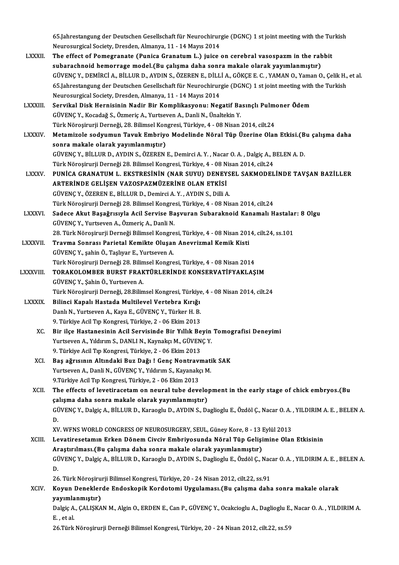65.Jahrestangung der Deutschen Gesellschaft für Neurochirurgie (DGNC) 1 st joint meeting with the Turkish<br>Neurosurgisel Society, Dreeden, Almanya 11, 14 Mayıs 2014 65.Jahrestangung der Deutschen Gesellschaft für Neurochirur<br>Neurosurgical Society, Dresden, Almanya, 11 - 14 Mayıs 2014<br>The effect of Bemogranate (Bunice Crenatum I ) ivise 65.Jahrestangung der Deutschen Gesellschaft für Neurochirurgie (DGNC) 1 st joint meeting with the Turkum Neurosurgical Society, Dresden, Almanya, 11 - 14 Mayıs 2014<br>LXXXII. The effect of Pomegranate (Punica Granatum L.) ju

- Neurosurgical Society, Dresden, Almanya, 11 14 Mayıs 2014<br>The effect of Pomegranate (Punica Granatum L.) juice on cerebral vasospazm in the rabbit<br>subarachnoid hemorrage model.(Bu çalışma daha sonra makale olarak yayımla The effect of Pomegranate (Punica Granatum L.) juice on cerebral vasospazm in the rabbit<br>subarachnoid hemorrage model.(Bu çalışma daha sonra makale olarak yayımlanmıştır)<br>GÜVENÇ Y., DEMİRCİ A., BİLLUR D., AYDIN S., ÖZEREN subarachnoid hemorrage model.(Bu çalışma daha sonra makale olarak yayımlanmıştır)<br>GÜVENÇ Y., DEMİRCİ A., BİLLUR D., AYDIN S., ÖZEREN E., DİLLİ A., GÖKÇE E. C. , YAMAN O., Yaman O., Çelik H.,<br>65.Jahrestangung der Deutschen GÜVENÇ Y., DEMİRCİ A., BİLLUR D., AYDIN S., ÖZEREN E., DİLL<br>65.Jahrestangung der Deutschen Gesellschaft für Neurochirur;<br>Neurosurgical Society, Dresden, Almanya, 11 - 14 Mayıs 2014<br>Servikal Disk Hernisinin Nadir Bir Kompli 65.Jahrestangung der Deutschen Gesellschaft für Neurochirurgie (DGNC) 1 st joint meeting with the Turkish<br>Neurosurgical Society, Dresden, Almanya, 11 - 14 Mayıs 2014<br>LXXXIII. Servikal Disk Hernisinin Nadir Bir Komplika
- GÜVENÇY.,Kocadağ S.,ÖzmeriçA.,YurtsevenA.,DanliN.,ÜnaltekinY. Servikal Disk Hernisinin Nadir Bir Komplikasyonu: Negatif Basınçlı Pulme<br>GÜVENÇ Y., Kocadağ S., Özmeriç A., Yurtseven A., Danli N., Ünaltekin Y.<br>Türk Nöroşirurji Derneği, 28. Bilimsel Kongresi, Türkiye, 4 - 08 Nisan 2014,
- LXXXIV. Metamizole sodyumun Tavuk Embriyo Modelinde Nöral Tüp Üzerine Olan Etkisi.(Bu çalışma daha Türk Nöroşirurji Derneği, 28. Bilimsel Kon<br>Metamizole sodyumun Tavuk Embriyo<br>sonra makale olarak yayımlanmıştır)<br>CÜVENC V. BİLLUP D. AYDIN S. ÖZEREN GÜVENÇY.,BİLLURD.,AYDINS.,ÖZERENE.,DemirciA.Y. ,NacarO.A. ,DalgiçA.,BELENA.D. S<mark>onra makale olarak yayımlanmıştır)</mark><br>GÜVENÇ Y., BİLLUR D., AYDIN S., ÖZEREN E., Demirci A. Y. , Nacar O. A. , Dalgiç A., B<br>Türk Nöroşirurji Derneği 28. Bilimsel Kongresi, Türkiye, 4 - 08 Nisan 2014, cilt.24<br>BUNİCA CRANATU
- GÜVENÇ Y., BİLLUR D., AYDIN S., ÖZEREN E., Demirci A. Y. , Nacar O. A. , Dalgiç A., BELEN A. D.<br>Türk Nöroşirurji Derneği 28. Bilimsel Kongresi, Türkiye, 4 08 Nisan 2014, cilt.24<br>LXXXV. PUNİCA GRANATUM L. EKSTRESİNİN Türk Nöroşirurji Derneği 28. Bilimsel Kongresi, Türkiye, 4 - 08 N<br>PUNİCA GRANATUM L. EKSTRESİNİN (NAR SUYU) DENEY<br>ARTERİNDE GELİŞEN VAZOSPAZMÜZERİNE OLAN ETKİSİ<br>CÜVENC X. ÖZEREN E. BİLLUR D. Demingi A. V. AYDIN S. Dili A PUNİCA GRANATUM L. EKSTRESİNİN (NAR SUYU) DENEYS<br>ARTERİNDE GELİŞEN VAZOSPAZMÜZERİNE OLAN ETKİSİ<br>GÜVENÇ Y., ÖZEREN E., BİLLUR D., Demirci A. Y. , AYDIN S., Dilli A.<br>Türk Nörosinurii Derneği 38. Bilimsel Konspesi, Türkiye 4. ARTERİNDE GELİŞEN VAZOSPAZMÜZERİNE OLAN ETKİSİ<br>GÜVENÇ Y., ÖZEREN E., BİLLUR D., Demirci A. Y. , AYDIN S., Dilli A.<br>Türk Nörosirurji Derneği 28. Bilimsel Kongresi, Türkiye, 4 - 08 Nisan 2014, cilt.24 GÜVENÇ Y., ÖZEREN E., BİLLUR D., Demirci A. Y. , AYDIN S., Dilli A.<br>Türk Nöroşirurji Derneği 28. Bilimsel Kongresi, Türkiye, 4 - 08 Nisan 2014, cilt.24<br>LXXXVI. Sadece Akut Başağrısıyla Acil Servise Başvuran Subaraknoid Kan
- GÜVENÇY.,YurtsevenA.,ÖzmeriçA.,DanliN. Sadece Akut Başağrısıyla Acil Servise Başvuran Subaraknoid Kanamalı Hastalaı<br>GÜVENÇ Y., Yurtseven A., Özmeriç A., Danli N.<br>28. Türk Nöroşirurji Derneği Bilimsel Kongresi, Türkiye, 4 - 08 Nisan 2014, cilt.24, ss.101<br>Trayma GÜVENÇ Y., Yurtseven A., Özmeriç A., Danli N.<br>28. Türk Nöroşirurji Derneği Bilimsel Kongresi, Türkiye, 4 - 08 Nisan 201<br>LXXXVII. Travma Sonrası Parietal Kemikte Oluşan Anevrizmal Kemik Kisti
- 28. Türk Nöroşirurji Derneği Bilimsel Kongre<br><mark>Travma Sonrası Parietal Kemikte Oluşar</mark><br>GÜVENÇ Y., şahin Ö., Taşlıyar E., Yurtseven A.<br>Türk Nörosirurji Derneği 29. Bilimsel Kongre Travma Sonrası Parietal Kemikte Oluşan Anevrizmal Kemik Kisti<br>GÜVENÇ Y., şahin Ö., Taşlıyar E., Yurtseven A.<br>Türk Nöroşirurji Derneği 28. Bilimsel Kongresi, Türkiye, 4 - 08 Nisan 2014<br>TORAKOLOMPER RURST ERAKTÜRI ERİNDE KON
- GÜVENÇ Y., şahin Ö., Taşlıyar E., Yurtseven A.<br>Türk Nöroşirurji Derneği 28. Bilimsel Kongresi, Türkiye, 4 08 Nisan 2014<br>LXXXVIII. TORAKOLOMBER BURST FRAKTÜRLERİNDE KONSERVATİFYAKLAŞIM<br>GÜVENÇ Y., Şahin Ö., Yurtseven A Türk Nöroşirurji Derneği 28. Bilin<br><mark>TORAKOLOMBER BURST FRAK</mark><br>GÜVENÇ Y., Şahin Ö., Yurtseven A.<br>Türk Nörosinurii Derneği, 28 Bilin

Türk Nöroşirurji Derneği, 28.Bilimsel Kongresi, Türkiye, 4 - 08 Nisan 2014, cilt.24

- LXXXIX. Bilinci Kapalı Hastada Multilevel Vertebra Kırığı Türk Nöroşirurji Derneği, 28.Bilimsel Kongresi, Türkiye<br>Bilinci Kapalı Hastada Multilevel Vertebra Kırığı<br>Danlı N., Yurtseven A., Kaya E., GÜVENÇ Y., Türker H. B.<br>9. Türkiye Asil Tın Kongresi Türkiye 2., 06 Ekim 2012 Bilinci Kapalı Hastada Multilevel Vertebra Kırığı<br>Danlı N., Yurtseven A., Kaya E., GÜVENÇ Y., Türker H. B.<br>9. Türkiye Acil Tıp Kongresi, Türkiye, 2 - 06 Ekim 2013<br>Pir ilsə Hastanesinin Asil Sarvisində Pir Yıllık Pe
	- XC. Bir ilçe Hastanesinin Acil Servisinde Bir Yıl ık Beyin Tomografisi Deneyimi 9. Türkiye Acil Tıp Kongresi, Türkiye, 2 - 06 Ekim 2013<br>Bir ilçe Hastanesinin Acil Servisinde Bir Yıllık Beyin<br>Yurtseven A., Yıldırım S., DANLI N., Kaynakçı M., GÜVENÇ Y.<br>9. Türkiye Acil Tıp Kongresi Türkiye 2., 06 Ekim 20 Bir ilçe Hastanesinin Acil Servisinde Bir Yıllık Be<br>Yurtseven A., Yıldırım S., DANLI N., Kaynakçı M., GÜVEN<br>9. Türkiye Acil Tıp Kongresi, Türkiye, 2 - 06 Ekim 2013<br>Baş ağrısının Altındaki Bur Dağı I Cans Nantnavn
	- 9. Türkiye Acil Tıp Kongresi, Türkiye, 2 06 Ekim 2013<br>XCI. Baş ağrısının Altındaki Buz Dağı ! Genç Nontravmatik SAK 9. Türkiye Acil Tıp Kongresi, Türkiye, 2 - 06 Ekim 2013<br>Baş ağrısının Altındaki Buz Dağı ! Genç Nontravmati<br>Yurtseven A., Danli N., GÜVENÇ Y., Yıldırım S., Kayanakçı M.<br>9 Türkiye Asil Tın Kongresi Türkiye 3, .06 Ekim 2012 Baş ağrısının Altındaki Buz Dağı ! Genç Nontravı<br>Yurtseven A., Danli N., GÜVENÇ Y., Yıldırım S., Kayanakç<br>9.Türkiye Acil Tıp Kongresi, Türkiye, 2 - 06 Ekim 2013<br>The effecte of levetinesstam on naunal tube dave

### 9. Türkiye Acil Tip Kongresi, Türkiye, 2 - 06 Ekim 2013<br>XCII. The effects of levetiracetam on neural tube development in the early stage of chick embryos.(Bu çalışma daha sonramakale olarak yayımlanmıştır) The effects of levetiracetam on neural tube development in the early stage of chick embryos.(Bu<br>çalışma daha sonra makale olarak yayımlanmıştır)<br>GÜVENÇ Y., Dalgiç A., BİLLUR D., Karaoglu D., AYDIN S., Daglioglu E., Özdöl Ç ça<br>GÜ<br>D. GÜVENÇ Y., Dalgiç A., BİLLUR D., Karaoglu D., AYDIN S., Daglioglu E., Özdöl Ç., Nacar O. A. ,<br>D.<br>XV. WFNS WORLD CONGRESS OF NEUROSURGERY, SEUL, Güney Kore, 8 - 13 Eylül 2013<br>Lavatiresstamın Erkan Dönem Giyajy Embriyesunda

XV. WFNS WORLD CONGRESS OF NEUROSURGERY, SEUL, Güney Kore, 8 - 13 Eylül 2013

D.<br>XV. WFNS WORLD CONGRESS OF NEUROSURGERY, SEUL, Güney Kore, 8 - 13 Eylül 2013<br>XCIII. Levatiresetamın Erken Dönem Civciv Embriyosunda Nöral Tüp Gelişimine Olan Etkisinin<br>Araştırılması.(Bu çalışma daha sonra makale ola Levatiresetamın Erken Dönem Civciv Embriyosunda Nöral Tüp Gelişimine Olan Etkisinin<br>Araştırılması.(Bu çalışma daha sonra makale olarak yayımlanmıştır)<br>GÜVENÇ Y., Dalgiç A., BİLLUR D., Karaoglu D., AYDIN S., Daglioglu E., Ö Ar<br>Gl<br>D.<br>26 GÜVENÇ Y., Dalgiç A., BİLLUR D., Karaoglu D., AYDIN S., Daglioglu E., Özdöl Ç., Nac<br>D.<br>26. Türk Nöroşirurji Bilimsel Kongresi, Türkiye, 20 - 24 Nisan 2012, cilt.22, ss.91<br>Koyun Danaklarda Endaskanik Kardatami Uygulaması (B

## D.<br>26. Türk Nöroşirurji Bilimsel Kongresi, Türkiye, 20 - 24 Nisan 2012, cilt.22, ss.91<br>XCIV. Koyun Deneklerde Endoskopik Kordotomi Uygulaması.(Bu çalışma daha sonra makale olarak<br>vayımlanmıştır) 26. Türk Nöroşirurji Bilimsel Kongresi, Türkiye, 20 - 24 Nisan 2012, cilt.22, ss.91<br>Koyun Deneklerde Endoskopik Kordotomi Uygulaması.(Bu çalışma daha sonra makale olarak<br>yayımlanmıştır)<br>Dalgiç A., ÇALIŞKAN M., Algin O., ER Koyun Deneklerde Endoskopik Kordotomi Uygulaması.(Bu çalışma daha sonra makale olarak<br>yayımlanmıştır)<br>Dalgiç A., ÇALIŞKAN M., Algin O., ERDEN E., Can P., GÜVENÇ Y., Ocakcioglu A., Daglioglu E., Nacar O. A. , YILDIRIM A.<br>E.

yayımlanmıştır)<br>Dalgiç A., ÇALIŞKA<br>E., et al.

26.TürkNöroşirurjiDerneğiBilimselKongresi,Türkiye,20 -24Nisan2012, cilt.22, ss.59